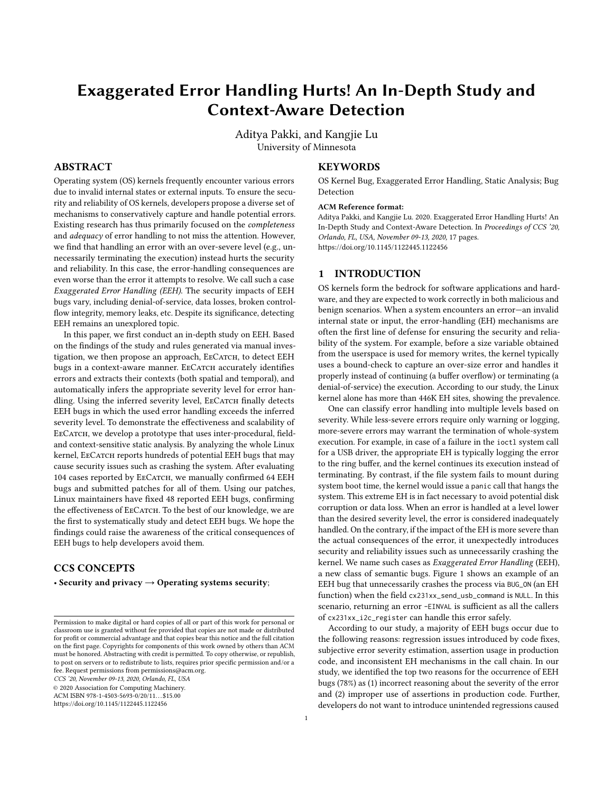# Exaggerated Error Handling Hurts! An In-Depth Study and Context-Aware Detection

Aditya Pakki, and Kangjie Lu University of Minnesota

# ABSTRACT

Operating system (OS) kernels frequently encounter various errors due to invalid internal states or external inputs. To ensure the security and reliability of OS kernels, developers propose a diverse set of mechanisms to conservatively capture and handle potential errors. Existing research has thus primarily focused on the completeness and adequacy of error handling to not miss the attention. However, we find that handling an error with an over-severe level (e.g., unnecessarily terminating the execution) instead hurts the security and reliability. In this case, the error-handling consequences are even worse than the error it attempts to resolve. We call such a case Exaggerated Error Handling (EEH). The security impacts of EEH bugs vary, including denial-of-service, data losses, broken controlflow integrity, memory leaks, etc. Despite its significance, detecting EEH remains an unexplored topic.

In this paper, we first conduct an in-depth study on EEH. Based on the findings of the study and rules generated via manual investigation, we then propose an approach, EECATCH, to detect EEH bugs in a context-aware manner. EECATCH accurately identifies errors and extracts their contexts (both spatial and temporal), and automatically infers the appropriate severity level for error handling. Using the inferred severity level, EECATCH finally detects EEH bugs in which the used error handling exceeds the inferred severity level. To demonstrate the effectiveness and scalability of EECATCH, we develop a prototype that uses inter-procedural, fieldand context-sensitive static analysis. By analyzing the whole Linux kernel, EECATCH reports hundreds of potential EEH bugs that may cause security issues such as crashing the system. After evaluating 104 cases reported by EECATCH, we manually confirmed 64 EEH bugs and submitted patches for all of them. Using our patches, Linux maintainers have fixed 48 reported EEH bugs, confirming the effectiveness of EECATCH. To the best of our knowledge, we are the first to systematically study and detect EEH bugs. We hope the findings could raise the awareness of the critical consequences of EEH bugs to help developers avoid them.

# CCS CONCEPTS

• Security and privacy  $\rightarrow$  Operating systems security;

CCS '20, November 09-13, 2020, Orlando, FL, USA

© 2020 Association for Computing Machinery.

ACM ISBN 978-1-4503-5693-0/20/11. . . \$15.00

<https://doi.org/10.1145/1122445.1122456>

# KEYWORDS

OS Kernel Bug, Exaggerated Error Handling, Static Analysis; Bug Detection

#### ACM Reference format:

Aditya Pakki, and Kangjie Lu. 2020. Exaggerated Error Handling Hurts! An In-Depth Study and Context-Aware Detection. In Proceedings of CCS '20, Orlando, FL, USA, November 09-13, 2020, [17](#page-16-0) pages. <https://doi.org/10.1145/1122445.1122456>

#### 1 INTRODUCTION

OS kernels form the bedrock for software applications and hardware, and they are expected to work correctly in both malicious and benign scenarios. When a system encounters an error—an invalid internal state or input, the error-handling (EH) mechanisms are often the first line of defense for ensuring the security and reliability of the system. For example, before a size variable obtained from the userspace is used for memory writes, the kernel typically uses a bound-check to capture an over-size error and handles it properly instead of continuing (a buffer overflow) or terminating (a denial-of-service) the execution. According to our study, the Linux kernel alone has more than 446K EH sites, showing the prevalence.

One can classify error handling into multiple levels based on severity. While less-severe errors require only warning or logging, more-severe errors may warrant the termination of whole-system execution. For example, in case of a failure in the ioctl system call for a USB driver, the appropriate EH is typically logging the error to the ring buffer, and the kernel continues its execution instead of terminating. By contrast, if the file system fails to mount during system boot time, the kernel would issue a panic call that hangs the system. This extreme EH is in fact necessary to avoid potential disk corruption or data loss. When an error is handled at a level lower than the desired severity level, the error is considered inadequately handled. On the contrary, if the impact of the EH is more severe than the actual consequences of the error, it unexpectedly introduces security and reliability issues such as unnecessarily crashing the kernel. We name such cases as Exaggerated Error Handling (EEH), a new class of semantic bugs. [Figure 1](#page-1-0) shows an example of an EEH bug that unnecessarily crashes the process via BUG\_ON (an EH function) when the field cx231xx\_send\_usb\_command is NULL. In this scenario, returning an error -EINVAL is sufficient as all the callers of cx231xx\_i2c\_register can handle this error safely.

According to our study, a majority of EEH bugs occur due to the following reasons: regression issues introduced by code fixes, subjective error severity estimation, assertion usage in production code, and inconsistent EH mechanisms in the call chain. In our study, we identified the top two reasons for the occurrence of EEH bugs (78%) as (1) incorrect reasoning about the severity of the error and (2) improper use of assertions in production code. Further, developers do not want to introduce unintended regressions caused

Permission to make digital or hard copies of all or part of this work for personal or classroom use is granted without fee provided that copies are not made or distributed for profit or commercial advantage and that copies bear this notice and the full citation on the first page. Copyrights for components of this work owned by others than ACM must be honored. Abstracting with credit is permitted. To copy otherwise, or republish, to post on servers or to redistribute to lists, requires prior specific permission and/or a fee. Request permissions from permissions@acm.org.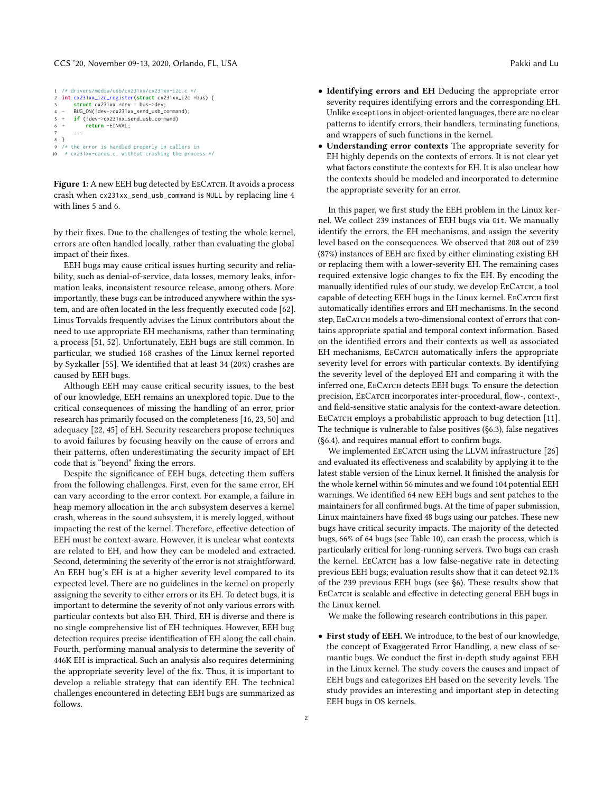#### CCS '20, November 09-13, 2020, Orlando, FL, USA Pakki and Lu

<span id="page-1-0"></span>

|   | $1 / *$ drivers/media/usb/cx231xx/cx231xx-i2c.c $*/$                  |  |
|---|-----------------------------------------------------------------------|--|
|   | 2 int $cx231xx_12c_$ register(struct $cx231xx_12c *bus$ ) {           |  |
| 3 | struct $cx231xx \times dev = bus > dev;$                              |  |
|   | 4 - BUG_ON(!dev->cx231xx_send_usb_command);                           |  |
|   | $5 + if ('dev->cx231xx\_send\_usb\_command)$                          |  |
|   | $6 +$<br>return -EINVAL;                                              |  |
| 7 | .                                                                     |  |
|   | 8 }                                                                   |  |
|   | $9$ /* the error is handled properly in callers in                    |  |
|   | $10 \times c x 231x x - c ards.c$ , without crashing the process $*/$ |  |
|   |                                                                       |  |

Figure 1: A new EEH bug detected by EECATCH. It avoids a process crash when cx231xx\_send\_usb\_command is NULL by replacing line 4 with lines 5 and 6.

by their fixes. Due to the challenges of testing the whole kernel, errors are often handled locally, rather than evaluating the global impact of their fixes.

EEH bugs may cause critical issues hurting security and reliability, such as denial-of-service, data losses, memory leaks, information leaks, inconsistent resource release, among others. More importantly, these bugs can be introduced anywhere within the system, and are often located in the less frequently executed code [\[62\]](#page-15-0). Linus Torvalds frequently advises the Linux contributors about the need to use appropriate EH mechanisms, rather than terminating a process [\[51,](#page-15-1) [52\]](#page-15-2). Unfortunately, EEH bugs are still common. In particular, we studied 168 crashes of the Linux kernel reported by Syzkaller [\[55\]](#page-15-3). We identified that at least 34 (20%) crashes are caused by EEH bugs.

Although EEH may cause critical security issues, to the best of our knowledge, EEH remains an unexplored topic. Due to the critical consequences of missing the handling of an error, prior research has primarily focused on the completeness [\[16,](#page-14-0) [23,](#page-14-1) [50\]](#page-15-4) and adequacy [\[22,](#page-14-2) [45\]](#page-14-3) of EH. Security researchers propose techniques to avoid failures by focusing heavily on the cause of errors and their patterns, often underestimating the security impact of EH code that is "beyond" fixing the errors.

Despite the significance of EEH bugs, detecting them suffers from the following challenges. First, even for the same error, EH can vary according to the error context. For example, a failure in heap memory allocation in the arch subsystem deserves a kernel crash, whereas in the sound subsystem, it is merely logged, without impacting the rest of the kernel. Therefore, effective detection of EEH must be context-aware. However, it is unclear what contexts are related to EH, and how they can be modeled and extracted. Second, determining the severity of the error is not straightforward. An EEH bug's EH is at a higher severity level compared to its expected level. There are no guidelines in the kernel on properly assigning the severity to either errors or its EH. To detect bugs, it is important to determine the severity of not only various errors with particular contexts but also EH. Third, EH is diverse and there is no single comprehensive list of EH techniques. However, EEH bug detection requires precise identification of EH along the call chain. Fourth, performing manual analysis to determine the severity of 446K EH is impractical. Such an analysis also requires determining the appropriate severity level of the fix. Thus, it is important to develop a reliable strategy that can identify EH. The technical challenges encountered in detecting EEH bugs are summarized as follows.

- Identifying errors and EH Deducing the appropriate error severity requires identifying errors and the corresponding EH. Unlike exceptions in object-oriented languages, there are no clear patterns to identify errors, their handlers, terminating functions, and wrappers of such functions in the kernel.
- Understanding error contexts The appropriate severity for EH highly depends on the contexts of errors. It is not clear yet what factors constitute the contexts for EH. It is also unclear how the contexts should be modeled and incorporated to determine the appropriate severity for an error.

In this paper, we first study the EEH problem in the Linux kernel. We collect 239 instances of EEH bugs via Git. We manually identify the errors, the EH mechanisms, and assign the severity level based on the consequences. We observed that 208 out of 239 (87%) instances of EEH are fixed by either eliminating existing EH or replacing them with a lower-severity EH. The remaining cases required extensive logic changes to fix the EH. By encoding the manually identified rules of our study, we develop EECATCH, a tool capable of detecting EEH bugs in the Linux kernel. EECATCH first automatically identifies errors and EH mechanisms. In the second step, EECATCH models a two-dimensional context of errors that contains appropriate spatial and temporal context information. Based on the identified errors and their contexts as well as associated EH mechanisms, EECATCH automatically infers the appropriate severity level for errors with particular contexts. By identifying the severity level of the deployed EH and comparing it with the inferred one, EECATCH detects EEH bugs. To ensure the detection precision, EECATCH incorporates inter-procedural, flow-, context-, and field-sensitive static analysis for the context-aware detection. EECATCH employs a probabilistic approach to bug detection [\[11\]](#page-14-4). The technique is vulnerable to false positives [\(§6.3\)](#page-11-0), false negatives [\(§6.4\)](#page-11-1), and requires manual effort to confirm bugs.

We implemented EECATCH using the LLVM infrastructure [\[26\]](#page-14-5) and evaluated its effectiveness and scalability by applying it to the latest stable version of the Linux kernel. It finished the analysis for the whole kernel within 56 minutes and we found 104 potential EEH warnings. We identified 64 new EEH bugs and sent patches to the maintainers for all confirmed bugs. At the time of paper submission, Linux maintainers have fixed 48 bugs using our patches. These new bugs have critical security impacts. The majority of the detected bugs, 66% of 64 bugs (see [Table 10\)](#page-16-1), can crash the process, which is particularly critical for long-running servers. Two bugs can crash the kernel. EECATCH has a low false-negative rate in detecting previous EEH bugs; evaluation results show that it can detect 92.1% of the 239 previous EEH bugs (see [§6\)](#page-9-0). These results show that EECATCH is scalable and effective in detecting general EEH bugs in the Linux kernel.

We make the following research contributions in this paper.

• First study of EEH. We introduce, to the best of our knowledge, the concept of Exaggerated Error Handling, a new class of semantic bugs. We conduct the first in-depth study against EEH in the Linux kernel. The study covers the causes and impact of EEH bugs and categorizes EH based on the severity levels. The study provides an interesting and important step in detecting EEH bugs in OS kernels.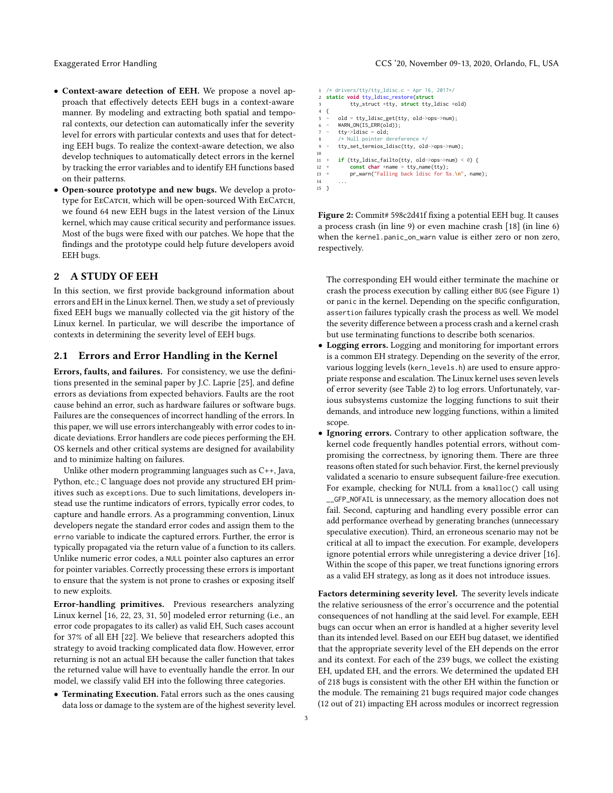- Context-aware detection of EEH. We propose a novel approach that effectively detects EEH bugs in a context-aware manner. By modeling and extracting both spatial and temporal contexts, our detection can automatically infer the severity level for errors with particular contexts and uses that for detecting EEH bugs. To realize the context-aware detection, we also develop techniques to automatically detect errors in the kernel by tracking the error variables and to identify EH functions based on their patterns.
- Open-source prototype and new bugs. We develop a prototype for ЕеСатсн, which will be open-sourced With ЕеСатсн, we found 64 new EEH bugs in the latest version of the Linux kernel, which may cause critical security and performance issues. Most of the bugs were fixed with our patches. We hope that the findings and the prototype could help future developers avoid EEH bugs.

# <span id="page-2-1"></span>2 A STUDY OF EEH

In this section, we first provide background information about errors and EH in the Linux kernel. Then, we study a set of previously fixed EEH bugs we manually collected via the git history of the Linux kernel. In particular, we will describe the importance of contexts in determining the severity level of EEH bugs.

#### <span id="page-2-0"></span>2.1 Errors and Error Handling in the Kernel

Errors, faults, and failures. For consistency, we use the definitions presented in the seminal paper by J.C. Laprie [\[25\]](#page-14-6), and define errors as deviations from expected behaviors. Faults are the root cause behind an error, such as hardware failures or software bugs. Failures are the consequences of incorrect handling of the errors. In this paper, we will use errors interchangeably with error codes to indicate deviations. Error handlers are code pieces performing the EH. OS kernels and other critical systems are designed for availability and to minimize halting on failures.

Unlike other modern programming languages such as C++, Java, Python, etc.; C language does not provide any structured EH primitives such as exceptions. Due to such limitations, developers instead use the runtime indicators of errors, typically error codes, to capture and handle errors. As a programming convention, Linux developers negate the standard error codes and assign them to the errno variable to indicate the captured errors. Further, the error is typically propagated via the return value of a function to its callers. Unlike numeric error codes, a NULL pointer also captures an error for pointer variables. Correctly processing these errors is important to ensure that the system is not prone to crashes or exposing itself to new exploits.

Error-handling primitives. Previous researchers analyzing Linux kernel [\[16,](#page-14-0) [22,](#page-14-2) [23,](#page-14-1) [31,](#page-14-7) [50\]](#page-15-4) modeled error returning (i.e., an error code propagates to its caller) as valid EH, Such cases account for 37% of all EH [\[22\]](#page-14-2). We believe that researchers adopted this strategy to avoid tracking complicated data flow. However, error returning is not an actual EH because the caller function that takes the returned value will have to eventually handle the error. In our model, we classify valid EH into the following three categories.

• Terminating Execution. Fatal errors such as the ones causing data loss or damage to the system are of the highest severity level.

#### Exaggerated Error Handling CCS '20, November 09-13, 2020, Orlando, FL, USA

```
1 /* drivers/tty/tty_ldisc.c - Apr 16, 2017*/
    2 static void tty_ldisc_restore(struct
 3 tty_struct *tty, struct tty_ldisc *old)
4 {
 5 - old = tty_ldisc_get(tty, old->ops->num);
6 - WARN_ON(IS_ERR(old));
         \texttt{try}\rightarrow \texttt{ldisc} = \texttt{old};8 /* Null pointer dereference */
9 - tty_set_termios_ldisc(tty, old->ops->num);
\begin{array}{c} 10 \\ 11 \end{array}11 + if (tty_ldisc_failto(tty, old->ops->num) < 0) {
12 + const char *name = try_name(tty);<br>13 + pr warn("Falling back ldisc for %
               pr_warn("Falling back ldisc for %s.\n", name);
14 ...
15 }
```
Figure 2: Commit# 598c2d41f fixing a potential EEH bug. It causes a process crash (in line 9) or even machine crash [\[18\]](#page-14-8) (in line 6) when the kernel.panic\_on\_warn value is either zero or non zero, respectively.

The corresponding EH would either terminate the machine or crash the process execution by calling either BUG (see [Figure 1\)](#page-1-0) or panic in the kernel. Depending on the specific configuration, assertion failures typically crash the process as well. We model the severity difference between a process crash and a kernel crash but use terminating functions to describe both scenarios.

- Logging errors. Logging and monitoring for important errors is a common EH strategy. Depending on the severity of the error, various logging levels (kern\_levels.h) are used to ensure appropriate response and escalation. The Linux kernel uses seven levels of error severity (see [Table 2\)](#page-3-0) to log errors. Unfortunately, various subsystems customize the logging functions to suit their demands, and introduce new logging functions, within a limited scope.
- Ignoring errors. Contrary to other application software, the kernel code frequently handles potential errors, without compromising the correctness, by ignoring them. There are three reasons often stated for such behavior. First, the kernel previously validated a scenario to ensure subsequent failure-free execution. For example, checking for NULL from a kmalloc() call using \_\_GFP\_NOFAIL is unnecessary, as the memory allocation does not fail. Second, capturing and handling every possible error can add performance overhead by generating branches (unnecessary speculative execution). Third, an erroneous scenario may not be critical at all to impact the execution. For example, developers ignore potential errors while unregistering a device driver [\[16\]](#page-14-0). Within the scope of this paper, we treat functions ignoring errors as a valid EH strategy, as long as it does not introduce issues.

Factors determining severity level. The severity levels indicate the relative seriousness of the error's occurrence and the potential consequences of not handling at the said level. For example, EEH bugs can occur when an error is handled at a higher severity level than its intended level. Based on our EEH bug dataset, we identified that the appropriate severity level of the EH depends on the error and its context. For each of the 239 bugs, we collect the existing EH, updated EH, and the errors. We determined the updated EH of 218 bugs is consistent with the other EH within the function or the module. The remaining 21 bugs required major code changes (12 out of 21) impacting EH across modules or incorrect regression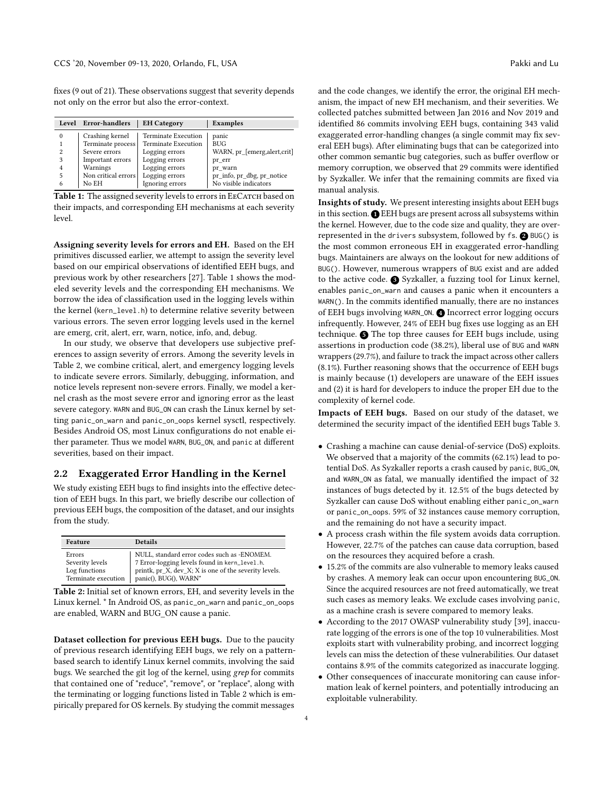fixes (9 out of 21). These observations suggest that severity depends not only on the error but also the error-context.

<span id="page-3-1"></span>

| Level    | Error-handlers      | <b>EH</b> Category         | Examples                      |
|----------|---------------------|----------------------------|-------------------------------|
| $\Omega$ | Crashing kernel     | <b>Terminate Execution</b> | panic                         |
|          | Terminate process   | <b>Terminate Execution</b> | <b>BUG</b>                    |
| 2        | Severe errors       | Logging errors             | WARN, pr [emerg, alert, crit] |
| 3        | Important errors    | Logging errors             | pr err                        |
| 4        | Warnings            | Logging errors             | pr warn                       |
| 5        | Non critical errors | Logging errors             | pr_info, pr_dbg, pr_notice    |
| 6        | No EH               | Ignoring errors            | No visible indicators         |

Table 1: The assigned severity levels to errors in EECATCH based on their impacts, and corresponding EH mechanisms at each severity level.

Assigning severity levels for errors and EH. Based on the EH primitives discussed earlier, we attempt to assign the severity level based on our empirical observations of identified EEH bugs, and previous work by other researchers [\[27\]](#page-14-9). [Table 1](#page-3-1) shows the modeled severity levels and the corresponding EH mechanisms. We borrow the idea of classification used in the logging levels within the kernel (kern\_level.h) to determine relative severity between various errors. The seven error logging levels used in the kernel are emerg, crit, alert, err, warn, notice, info, and, debug.

In our study, we observe that developers use subjective preferences to assign severity of errors. Among the severity levels in [Table 2,](#page-3-0) we combine critical, alert, and emergency logging levels to indicate severe errors. Similarly, debugging, information, and notice levels represent non-severe errors. Finally, we model a kernel crash as the most severe error and ignoring error as the least severe category. WARN and BUG\_ON can crash the Linux kernel by setting panic\_on\_warn and panic\_on\_oops kernel sysctl, respectively. Besides Android OS, most Linux configurations do not enable either parameter. Thus we model WARN, BUG\_ON, and panic at different severities, based on their impact.

# <span id="page-3-2"></span>2.2 Exaggerated Error Handling in the Kernel

We study existing EEH bugs to find insights into the effective detection of EEH bugs. In this part, we briefly describe our collection of previous EEH bugs, the composition of the dataset, and our insights from the study.

<span id="page-3-0"></span>

| Feature             | <b>Details</b>                                        |
|---------------------|-------------------------------------------------------|
| Errors              | NULL, standard error codes such as -ENOMEM.           |
| Severity levels     | 7 Error-logging levels found in kern_level.h.         |
| Log functions       | printk, pr_X, dev_X; X is one of the severity levels. |
| Terminate execution | panic(), BUG(), WARN*                                 |

Table 2: Initial set of known errors, EH, and severity levels in the Linux kernel. \* In Android OS, as panic\_on\_warn and panic\_on\_oops are enabled, WARN and BUG\_ON cause a panic.

Dataset collection for previous EEH bugs. Due to the paucity of previous research identifying EEH bugs, we rely on a patternbased search to identify Linux kernel commits, involving the said bugs. We searched the git log of the kernel, using grep for commits that contained one of "reduce", "remove", or "replace", along with the terminating or logging functions listed in [Table 2](#page-3-0) which is empirically prepared for OS kernels. By studying the commit messages and the code changes, we identify the error, the original EH mechanism, the impact of new EH mechanism, and their severities. We collected patches submitted between Jan 2016 and Nov 2019 and identified 86 commits involving EEH bugs, containing 343 valid exaggerated error-handling changes (a single commit may fix several EEH bugs). After eliminating bugs that can be categorized into other common semantic bug categories, such as buffer overflow or memory corruption, we observed that 29 commits were identified by Syzkaller. We infer that the remaining commits are fixed via manual analysis.

Insights of study. We present interesting insights about EEH bugs in this section.  $\bigcirc$  EEH bugs are present across all subsystems within the kernel. However, due to the code size and quality, they are overrepresented in the drivers subsystem, followed by  $fs.$   $\bigcirc$  BUG() is the most common erroneous EH in exaggerated error-handling bugs. Maintainers are always on the lookout for new additions of BUG(). However, numerous wrappers of BUG exist and are added to the active code. <sup>3</sup> Syzkaller, a fuzzing tool for Linux kernel, enables panic\_on\_warn and causes a panic when it encounters a WARN(). In the commits identified manually, there are no instances of EEH bugs involving WARN\_ON. 4 Incorrect error logging occurs infrequently. However, 24% of EEH bug fixes use logging as an EH technique.  $\bigodot$  The top three causes for EEH bugs include, using assertions in production code (38.2%), liberal use of BUG and WARN wrappers (29.7%), and failure to track the impact across other callers (8.1%). Further reasoning shows that the occurrence of EEH bugs is mainly because (1) developers are unaware of the EEH issues and (2) it is hard for developers to induce the proper EH due to the complexity of kernel code.

Impacts of EEH bugs. Based on our study of the dataset, we determined the security impact of the identified EEH bugs [Table 3.](#page-4-0)

- Crashing a machine can cause denial-of-service (DoS) exploits. We observed that a majority of the commits (62.1%) lead to potential DoS. As Syzkaller reports a crash caused by panic, BUG\_ON, and WARN\_ON as fatal, we manually identified the impact of 32 instances of bugs detected by it. 12.5% of the bugs detected by Syzkaller can cause DoS without enabling either panic\_on\_warn or panic\_on\_oops. 59% of 32 instances cause memory corruption, and the remaining do not have a security impact.
- A process crash within the file system avoids data corruption. However, 22.7% of the patches can cause data corruption, based on the resources they acquired before a crash.
- 15.2% of the commits are also vulnerable to memory leaks caused by crashes. A memory leak can occur upon encountering BUG\_ON. Since the acquired resources are not freed automatically, we treat such cases as memory leaks. We exclude cases involving panic, as a machine crash is severe compared to memory leaks.
- According to the 2017 OWASP vulnerability study [\[39\]](#page-14-10), inaccurate logging of the errors is one of the top 10 vulnerabilities. Most exploits start with vulnerability probing, and incorrect logging levels can miss the detection of these vulnerabilities. Our dataset contains 8.9% of the commits categorized as inaccurate logging.
- Other consequences of inaccurate monitoring can cause information leak of kernel pointers, and potentially introducing an exploitable vulnerability.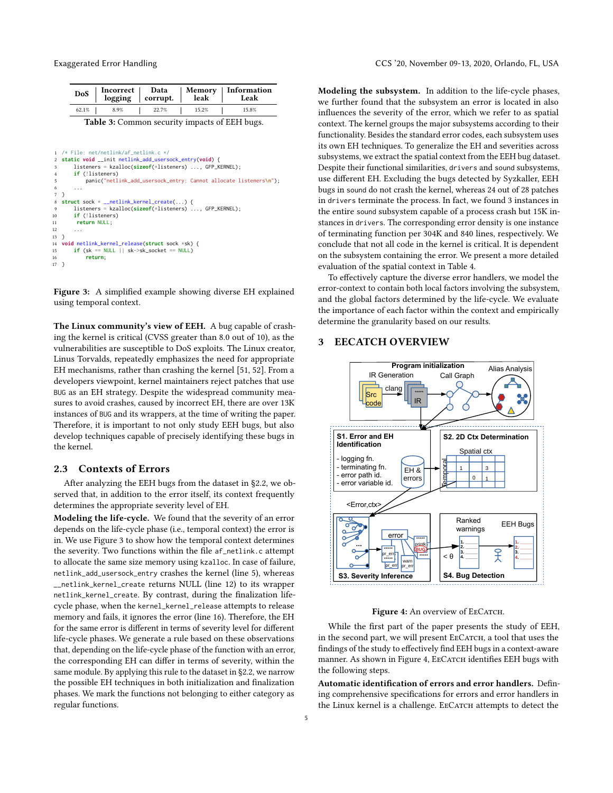<span id="page-4-0"></span>

| DoS   | Incorrect<br>logging | Data<br>corrupt. | Memory<br>leak | Information<br>Leak |
|-------|----------------------|------------------|----------------|---------------------|
| 62.1% | 8.9%                 | 22.7%            | 15.2%          | 15.8%               |
|       |                      |                  |                |                     |

Table 3: Common security impacts of EEH bugs.

```
/* File: net/netlink/af\_netlink.c */
2 static void __init netlink_add_usersock_entry(void) {
       3 listeners = kzalloc(sizeof(*listeners) ..., GFP_KERNEL);
       if (!listeners)
5 panic("netlink_add_usersock_entry: Cannot allocate listeners\n");
       6 ...
   7 }
8 struct sock * __netlink_kernel_create(...) {
9 listeners = kzalloc(sizeof(*listeners) ..., GFP_KERNEL);
       10 if (!listeners)
11 return NULL;
12.13 }
14 void netlink_kernel_release(struct sock *sk) {<br>15 if (sk == NULL || sk->sk socket == NULL)
       15 if (sk == NULL || sk->sk_socket == NULL)
16 return;
17 }
```
Figure 3: A simplified example showing diverse EH explained using temporal context.

The Linux community's view of EEH. A bug capable of crashing the kernel is critical (CVSS greater than 8.0 out of 10), as the vulnerabilities are susceptible to DoS exploits. The Linux creator, Linus Torvalds, repeatedly emphasizes the need for appropriate EH mechanisms, rather than crashing the kernel [\[51,](#page-15-1) [52\]](#page-15-2). From a developers viewpoint, kernel maintainers reject patches that use BUG as an EH strategy. Despite the widespread community measures to avoid crashes, caused by incorrect EH, there are over 13K instances of BUG and its wrappers, at the time of writing the paper. Therefore, it is important to not only study EEH bugs, but also develop techniques capable of precisely identifying these bugs in the kernel.

#### <span id="page-4-3"></span>2.3 Contexts of Errors

After analyzing the EEH bugs from the dataset in [§2.2,](#page-3-2) we observed that, in addition to the error itself, its context frequently determines the appropriate severity level of EH.

Modeling the life-cycle. We found that the severity of an error depends on the life-cycle phase (i.e., temporal context) the error is in. We use [Figure 3](#page-4-1) to show how the temporal context determines the severity. Two functions within the file af\_netlink.c attempt to allocate the same size memory using kzalloc. In case of failure, netlink\_add\_usersock\_entry crashes the kernel (line 5), whereas \_\_netlink\_kernel\_create returns NULL (line 12) to its wrapper netlink\_kernel\_create. By contrast, during the finalization lifecycle phase, when the kernel\_kernel\_release attempts to release memory and fails, it ignores the error (line 16). Therefore, the EH for the same error is different in terms of severity level for different life-cycle phases. We generate a rule based on these observations that, depending on the life-cycle phase of the function with an error, the corresponding EH can differ in terms of severity, within the same module. By applying this rule to the dataset in [§2.2,](#page-3-2) we narrow the possible EH techniques in both initialization and finalization phases. We mark the functions not belonging to either category as regular functions.

Modeling the subsystem. In addition to the life-cycle phases, we further found that the subsystem an error is located in also influences the severity of the error, which we refer to as spatial context. The kernel groups the major subsystems according to their functionality. Besides the standard error codes, each subsystem uses its own EH techniques. To generalize the EH and severities across subsystems, we extract the spatial context from the EEH bug dataset. Despite their functional similarities, drivers and sound subsystems, use different EH. Excluding the bugs detected by Syzkaller, EEH bugs in sound do not crash the kernel, whereas 24 out of 28 patches in drivers terminate the process. In fact, we found 3 instances in the entire sound subsystem capable of a process crash but 15K instances in drivers. The corresponding error density is one instance of terminating function per 304K and 840 lines, respectively. We conclude that not all code in the kernel is critical. It is dependent on the subsystem containing the error. We present a more detailed evaluation of the spatial context in [Table 4.](#page-9-1)

To effectively capture the diverse error handlers, we model the error-context to contain both local factors involving the subsystem, and the global factors determined by the life-cycle. We evaluate the importance of each factor within the context and empirically determine the granularity based on our results.

# 3 EECATCH OVERVIEW

<span id="page-4-2"></span>

#### Figure 4: An overview of EECATCH.

While the first part of the paper presents the study of EEH, in the second part, we will present EECATCH, a tool that uses the findings of the study to effectively find EEH bugs in a context-aware manner. As shown in [Figure 4,](#page-4-2) EECATCH identifies EEH bugs with the following steps.

Automatic identification of errors and error handlers. Defining comprehensive specifications for errors and error handlers in the Linux kernel is a challenge. EECATCH attempts to detect the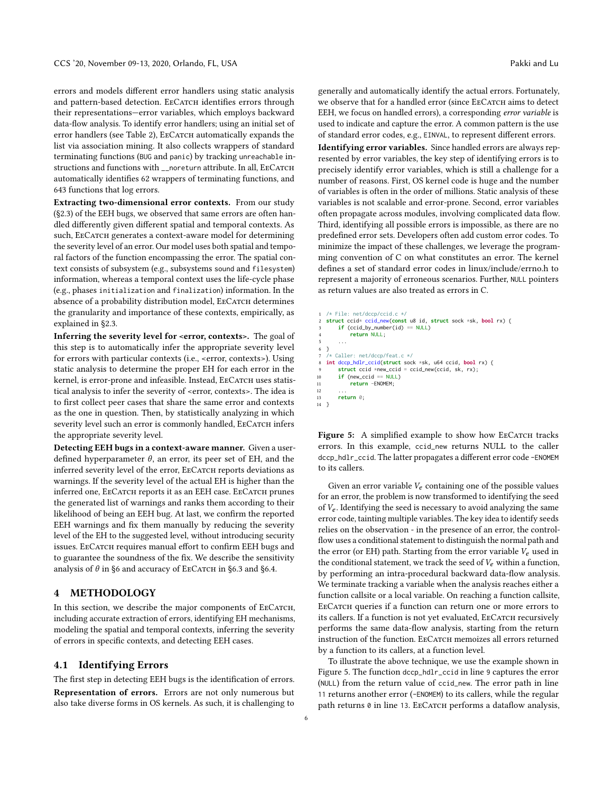errors and models different error handlers using static analysis and pattern-based detection. EECATCH identifies errors through their representations—error variables, which employs backward data-flow analysis. To identify error handlers; using an initial set of error handlers (see [Table 2\)](#page-3-0), EECATCH automatically expands the list via association mining. It also collects wrappers of standard terminating functions (BUG and panic) by tracking unreachable instructions and functions with \_\_noreturn attribute. In all, EECATCH automatically identifies 62 wrappers of terminating functions, and 643 functions that log errors.

Extracting two-dimensional error contexts. From our study [\(§2.3\)](#page-4-3) of the EEH bugs, we observed that same errors are often handled differently given different spatial and temporal contexts. As such, EECATCH generates a context-aware model for determining the severity level of an error. Our model uses both spatial and temporal factors of the function encompassing the error. The spatial context consists of subsystem (e.g., subsystems sound and filesystem) information, whereas a temporal context uses the life-cycle phase (e.g., phases initialization and finalization) information. In the absence of a probability distribution model, EECATCH determines the granularity and importance of these contexts, empirically, as explained in [§2.3.](#page-4-3)

Inferring the severity level for <error, contexts>. The goal of this step is to automatically infer the appropriate severity level for errors with particular contexts (i.e., <error, contexts>). Using static analysis to determine the proper EH for each error in the kernel, is error-prone and infeasible. Instead, EECATCH uses statistical analysis to infer the severity of <error, contexts>. The idea is to first collect peer cases that share the same error and contexts as the one in question. Then, by statistically analyzing in which severity level such an error is commonly handled, EECATCH infers the appropriate severity level.

Detecting EEH bugs in a context-aware manner. Given a userdefined hyperparameter  $\theta$ , an error, its peer set of EH, and the inferred severity level of the error, EECATCH reports deviations as warnings. If the severity level of the actual EH is higher than the inferred one, EECATCH reports it as an EEH case. EECATCH prunes the generated list of warnings and ranks them according to their likelihood of being an EEH bug. At last, we confirm the reported EEH warnings and fix them manually by reducing the severity level of the EH to the suggested level, without introducing security issues. EECATCH requires manual effort to confirm EEH bugs and to guarantee the soundness of the fix. We describe the sensitivity analysis of  $\theta$  in [§6](#page-9-0) and accuracy of EECATCH in [§6.3](#page-11-0) and [§6.4.](#page-11-1)

# 4 METHODOLOGY

In this section, we describe the major components of EECATCH, including accurate extraction of errors, identifying EH mechanisms, modeling the spatial and temporal contexts, inferring the severity of errors in specific contexts, and detecting EEH cases.

# <span id="page-5-1"></span>4.1 Identifying Errors

The first step in detecting EEH bugs is the identification of errors. Representation of errors. Errors are not only numerous but also take diverse forms in OS kernels. As such, it is challenging to generally and automatically identify the actual errors. Fortunately, we observe that for a handled error (since EECATCH aims to detect EEH, we focus on handled errors), a corresponding error variable is used to indicate and capture the error. A common pattern is the use of standard error codes, e.g., EINVAL, to represent different errors.

Identifying error variables. Since handled errors are always represented by error variables, the key step of identifying errors is to precisely identify error variables, which is still a challenge for a number of reasons. First, OS kernel code is huge and the number of variables is often in the order of millions. Static analysis of these variables is not scalable and error-prone. Second, error variables often propagate across modules, involving complicated data flow. Third, identifying all possible errors is impossible, as there are no predefined error sets. Developers often add custom error codes. To minimize the impact of these challenges, we leverage the programming convention of C on what constitutes an error. The kernel defines a set of standard error codes in linux/include/errno.h to represent a majority of erroneous scenarios. Further, NULL pointers as return values are also treated as errors in C.

```
1 /\star File: net/dccn/ccid.c \star/
2 struct ccid* ccid_new(const u8 id, struct sock *sk, bool rx) {
        if (ccid_by_number(id) == NULL)4 return NULL;
 5 ...
   \mathcal{E}7 /* Caller: net/dccp/feat.c */
8 int dccp_hdlr_ccid(struct sock *sk, u64 ccid, bool rx) {
        struct ccid *new_ccid = ccid_new(ccid, sk, rx);
10 if (new_ccid == NULL)<br>11 return -FNOMFM:
            11 return -ENOMEM;
12 ...
13 return 0;
14 }
```
Figure 5: A simplified example to show how EECATCH tracks errors. In this example, ccid\_new returns NULL to the caller dccp\_hdlr\_ccid. The latter propagates a different error code -ENOMEM to its callers.

Given an error variable  $V_e$  containing one of the possible values for an error, the problem is now transformed to identifying the seed of  $V_e$ . Identifying the seed is necessary to avoid analyzing the same error code, tainting multiple variables. The key idea to identify seeds relies on the observation - in the presence of an error, the controlflow uses a conditional statement to distinguish the normal path and the error (or EH) path. Starting from the error variable  $V_e$  used in the conditional statement, we track the seed of  $V_e$  within a function, by performing an intra-procedural backward data-flow analysis. We terminate tracking a variable when the analysis reaches either a function callsite or a local variable. On reaching a function callsite, EECATCH queries if a function can return one or more errors to its callers. If a function is not yet evaluated, EECATCH recursively performs the same data-flow analysis, starting from the return instruction of the function. EECATCH memoizes all errors returned by a function to its callers, at a function level.

To illustrate the above technique, we use the example shown in [Figure 5.](#page-5-0) The function dccp\_hdlr\_ccid in line 9 captures the error (NULL) from the return value of ccid\_new. The error path in line 11 returns another error (-ENOMEM) to its callers, while the regular path returns 0 in line 13. EECATCH performs a dataflow analysis,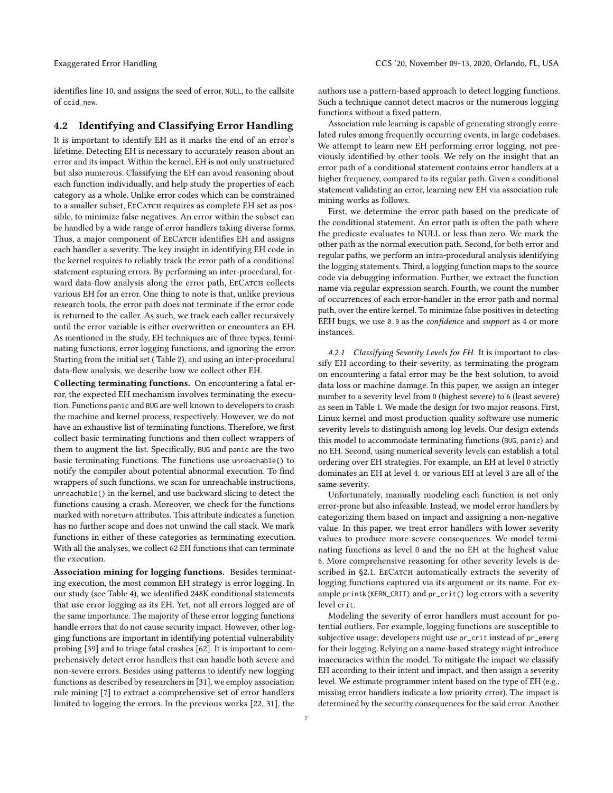identifies line 10, and assigns the seed of error, NULL, to the callsite of ccid\_new.

# 4.2 Identifying and Classifying Error Handling

It is important to identify EH as it marks the end of an error's lifetime. Detecting EH is necessary to accurately reason about an error and its impact. Within the kernel, EH is not only unstructured but also numerous. Classifying the EH can avoid reasoning about each function individually, and help study the properties of each category as a whole. Unlike error codes which can be constrained to a smaller subset, EECATCH requires as complete EH set as possible, to minimize false negatives. An error within the subset can be handled by a wide range of error handlers taking diverse forms. Thus, a major component of EECATCH identifies EH and assigns each handler a severity. The key insight in identifying EH code in the kernel requires to reliably track the error path of a conditional statement capturing errors. By performing an inter-procedural, forward data-flow analysis along the error path, EECATCH collects various EH for an error. One thing to note is that, unlike previous research tools, the error path does not terminate if the error code is returned to the caller. As such, we track each caller recursively until the error variable is either overwritten or encounters an EH. As mentioned in the study, EH techniques are of three types, terminating functions, error logging functions, and ignoring the error. Starting from the initial set ( [Table 2\)](#page-3-0), and using an inter-procedural data-flow analysis, we describe how we collect other EH.

Collecting terminating functions. On encountering a fatal error, the expected EH mechanism involves terminating the execution. Functions panic and BUG are well known to developers to crash the machine and kernel process, respectively. However, we do not have an exhaustive list of terminating functions. Therefore, we first collect basic terminating functions and then collect wrappers of them to augment the list. Specifically, BUG and panic are the two basic terminating functions. The functions use unreachable() to notify the compiler about potential abnormal execution. To find wrappers of such functions, we scan for unreachable instructions, unreachable() in the kernel, and use backward slicing to detect the functions causing a crash. Moreover, we check for the functions marked with noreturn attributes. This attribute indicates a function has no further scope and does not unwind the call stack. We mark functions in either of these categories as terminating execution. With all the analyses, we collect 62 EH functions that can terminate the execution.

Association mining for logging functions. Besides terminating execution, the most common EH strategy is error logging. In our study (see [Table 4\)](#page-9-1), we identified 248K conditional statements that use error logging as its EH. Yet, not all errors logged are of the same importance. The majority of these error logging functions handle errors that do not cause security impact. However, other logging functions are important in identifying potential vulnerability probing [\[39\]](#page-14-10) and to triage fatal crashes [\[62\]](#page-15-0). It is important to comprehensively detect error handlers that can handle both severe and non-severe errors. Besides using patterns to identify new logging functions as described by researchers in [\[31\]](#page-14-7), we employ association rule mining [\[7\]](#page-14-11) to extract a comprehensive set of error handlers limited to logging the errors. In the previous works [\[22,](#page-14-2) [31\]](#page-14-7), the

authors use a pattern-based approach to detect logging functions. Such a technique cannot detect macros or the numerous logging functions without a fixed pattern.

Association rule learning is capable of generating strongly correlated rules among frequently occurring events, in large codebases. We attempt to learn new EH performing error logging, not previously identified by other tools. We rely on the insight that an error path of a conditional statement contains error handlers at a higher frequency, compared to its regular path. Given a conditional statement validating an error, learning new EH via association rule mining works as follows.

First, we determine the error path based on the predicate of the conditional statement. An error path is often the path where the predicate evaluates to NULL or less than zero. We mark the other path as the normal execution path. Second, for both error and regular paths, we perform an intra-procedural analysis identifying the logging statements. Third, a logging function maps to the source code via debugging information. Further, we extract the function name via regular expression search. Fourth, we count the number of occurrences of each error-handler in the error path and normal path, over the entire kernel. To minimize false positives in detecting EEH bugs, we use 0.9 as the *confidence* and *support* as 4 or more instances.

4.2.1 Classifying Severity Levels for EH. It is important to classify EH according to their severity, as terminating the program on encountering a fatal error may be the best solution, to avoid data loss or machine damage. In this paper, we assign an integer number to a severity level from 0 (highest severe) to 6 (least severe) as seen in [Table 1.](#page-3-1) We made the design for two major reasons. First, Linux kernel and most production quality software use numeric severity levels to distinguish among log levels. Our design extends this model to accommodate terminating functions (BUG, panic) and no EH. Second, using numerical severity levels can establish a total ordering over EH strategies. For example, an EH at level 0 strictly dominates an EH at level 4, or various EH at level 3 are all of the same severity.

Unfortunately, manually modeling each function is not only error-prone but also infeasible. Instead, we model error handlers by categorizing them based on impact and assigning a non-negative value. In this paper, we treat error handlers with lower severity values to produce more severe consequences. We model terminating functions as level 0 and the no EH at the highest value 6. More comprehensive reasoning for other severity levels is de-scribed in [§2.1.](#page-2-0) EECATCH automatically extracts the severity of logging functions captured via its argument or its name. For example printk(KERN\_CRIT) and pr\_crit() log errors with a severity level crit.

Modeling the severity of error handlers must account for potential outliers. For example, logging functions are susceptible to subjective usage; developers might use pr\_crit instead of pr\_emerg for their logging. Relying on a name-based strategy might introduce inaccuracies within the model. To mitigate the impact we classify EH according to their intent and impact, and then assign a severity level. We estimate programmer intent based on the type of EH (e.g., missing error handlers indicate a low priority error). The impact is determined by the security consequences for the said error. Another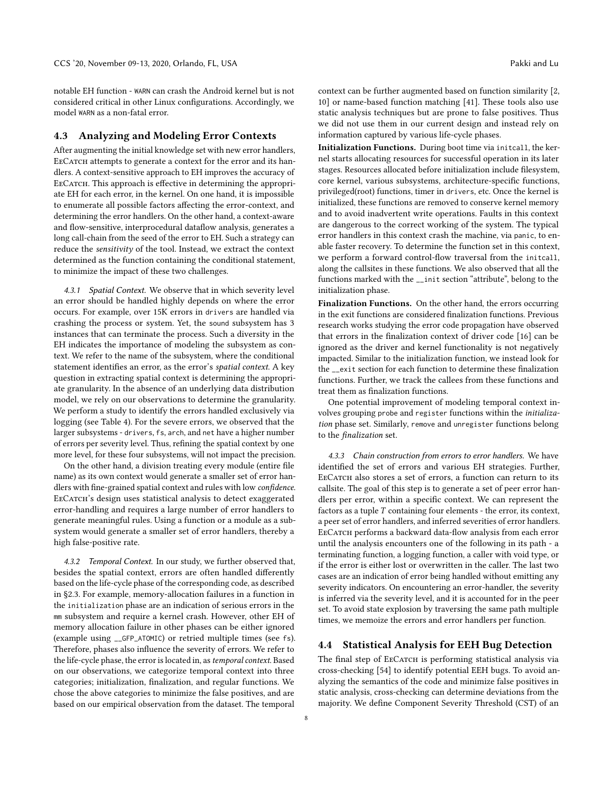notable EH function - WARN can crash the Android kernel but is not considered critical in other Linux configurations. Accordingly, we model WARN as a non-fatal error.

### 4.3 Analyzing and Modeling Error Contexts

After augmenting the initial knowledge set with new error handlers, EECATCH attempts to generate a context for the error and its handlers. A context-sensitive approach to EH improves the accuracy of EECATCH. This approach is effective in determining the appropriate EH for each error, in the kernel. On one hand, it is impossible to enumerate all possible factors affecting the error-context, and determining the error handlers. On the other hand, a context-aware and flow-sensitive, interprocedural dataflow analysis, generates a long call-chain from the seed of the error to EH. Such a strategy can reduce the sensitivity of the tool. Instead, we extract the context determined as the function containing the conditional statement, to minimize the impact of these two challenges.

4.3.1 Spatial Context. We observe that in which severity level an error should be handled highly depends on where the error occurs. For example, over 15K errors in drivers are handled via crashing the process or system. Yet, the sound subsystem has 3 instances that can terminate the process. Such a diversity in the EH indicates the importance of modeling the subsystem as context. We refer to the name of the subsystem, where the conditional statement identifies an error, as the error's spatial context. A key question in extracting spatial context is determining the appropriate granularity. In the absence of an underlying data distribution model, we rely on our observations to determine the granularity. We perform a study to identify the errors handled exclusively via logging (see [Table 4\)](#page-9-1). For the severe errors, we observed that the larger subsystems - drivers, fs, arch, and net have a higher number of errors per severity level. Thus, refining the spatial context by one more level, for these four subsystems, will not impact the precision.

On the other hand, a division treating every module (entire file name) as its own context would generate a smaller set of error handlers with fine-grained spatial context and rules with low confidence. EECATCH's design uses statistical analysis to detect exaggerated error-handling and requires a large number of error handlers to generate meaningful rules. Using a function or a module as a subsystem would generate a smaller set of error handlers, thereby a high false-positive rate.

<span id="page-7-0"></span>4.3.2 Temporal Context. In our study, we further observed that, besides the spatial context, errors are often handled differently based on the life-cycle phase of the corresponding code, as described in [§2.3.](#page-4-3) For example, memory-allocation failures in a function in the initialization phase are an indication of serious errors in the mm subsystem and require a kernel crash. However, other EH of memory allocation failure in other phases can be either ignored (example using \_\_GFP\_ATOMIC) or retried multiple times (see fs). Therefore, phases also influence the severity of errors. We refer to the life-cycle phase, the error is located in, as temporal context. Based on our observations, we categorize temporal context into three categories; initialization, finalization, and regular functions. We chose the above categories to minimize the false positives, and are based on our empirical observation from the dataset. The temporal

context can be further augmented based on function similarity [\[2,](#page-14-12) [10\]](#page-14-13) or name-based function matching [\[41\]](#page-14-14). These tools also use static analysis techniques but are prone to false positives. Thus we did not use them in our current design and instead rely on information captured by various life-cycle phases.

Initialization Functions. During boot time via initcall, the kernel starts allocating resources for successful operation in its later stages. Resources allocated before initialization include filesystem, core kernel, various subsystems, architecture-specific functions, privileged(root) functions, timer in drivers, etc. Once the kernel is initialized, these functions are removed to conserve kernel memory and to avoid inadvertent write operations. Faults in this context are dangerous to the correct working of the system. The typical error handlers in this context crash the machine, via panic, to enable faster recovery. To determine the function set in this context, we perform a forward control-flow traversal from the initcall, along the callsites in these functions. We also observed that all the functions marked with the \_\_init section "attribute", belong to the initialization phase.

Finalization Functions. On the other hand, the errors occurring in the exit functions are considered finalization functions. Previous research works studying the error code propagation have observed that errors in the finalization context of driver code [\[16\]](#page-14-0) can be ignored as the driver and kernel functionality is not negatively impacted. Similar to the initialization function, we instead look for the \_\_exit section for each function to determine these finalization functions. Further, we track the callees from these functions and treat them as finalization functions.

One potential improvement of modeling temporal context involves grouping probe and register functions within the initialization phase set. Similarly, remove and unregister functions belong to the finalization set.

4.3.3 Chain construction from errors to error handlers. We have identified the set of errors and various EH strategies. Further, EECATCH also stores a set of errors, a function can return to its callsite. The goal of this step is to generate a set of peer error handlers per error, within a specific context. We can represent the factors as a tuple  $T$  containing four elements - the error, its context, a peer set of error handlers, and inferred severities of error handlers. EECATCH performs a backward data-flow analysis from each error until the analysis encounters one of the following in its path - a terminating function, a logging function, a caller with void type, or if the error is either lost or overwritten in the caller. The last two cases are an indication of error being handled without emitting any severity indicators. On encountering an error-handler, the severity is inferred via the severity level, and it is accounted for in the peer set. To avoid state explosion by traversing the same path multiple times, we memoize the errors and error handlers per function.

# <span id="page-7-1"></span>4.4 Statistical Analysis for EEH Bug Detection

The final step of EECATCH is performing statistical analysis via cross-checking [\[54\]](#page-15-5) to identify potential EEH bugs. To avoid analyzing the semantics of the code and minimize false positives in static analysis, cross-checking can determine deviations from the majority. We define Component Severity Threshold (CST) of an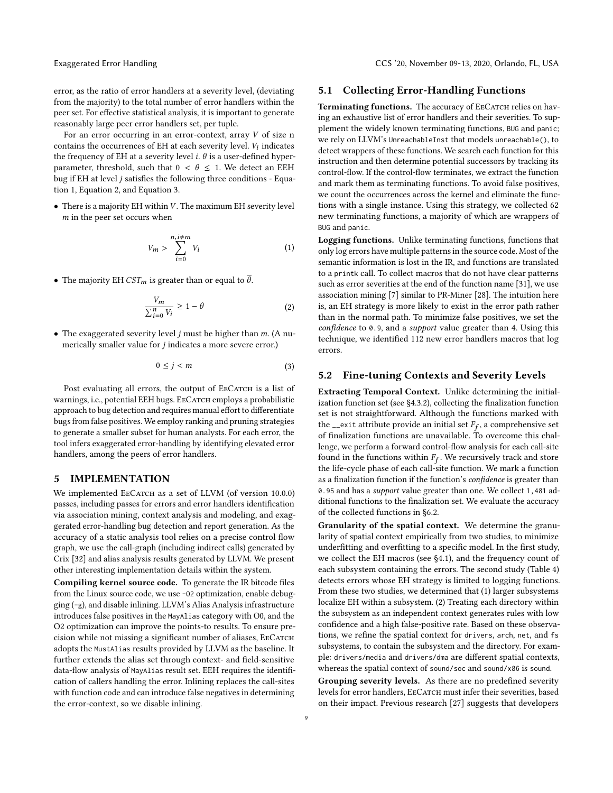error, as the ratio of error handlers at a severity level, (deviating from the majority) to the total number of error handlers within the peer set. For effective statistical analysis, it is important to generate reasonably large peer error handlers set, per tuple.

For an error occurring in an error-context, array V of size n contains the occurrences of EH at each severity level.  $V_i$  indicates<br>the frequency of EH at a coverity level  $i$ ,  $\theta$  is a user defined byper the frequency of EH at a severity level i.  $\theta$  is a user-defined hyperparameter, threshold, such that  $0 < \theta \leq 1$ . We detect an EEH bug if EH at level  $j$  satisfies the following three conditions - [Equa](#page-8-0)[tion 1,](#page-8-0) [Equation 2,](#page-8-1) and [Equation 3.](#page-8-2)

 $\bullet$  There is a majority EH within V. The maximum EH severity level m in the peer set occurs when

<span id="page-8-0"></span>
$$
V_m > \sum_{i=0}^{n, i \neq m} V_i
$$
 (1)

• The majority EH  $CST_m$  is greater than or equal to  $\overline{\theta}$ .

<span id="page-8-1"></span>
$$
\frac{V_m}{\sum_{i=0}^n V_i} \ge 1 - \theta \tag{2}
$$

• The exaggerated severity level  $j$  must be higher than  $m$ . (A numerically smaller value for *j* indicates a more severe error.)

<span id="page-8-2"></span>
$$
0 \le j < m \tag{3}
$$

Post evaluating all errors, the output of EECATCH is a list of warnings, i.e., potential EEH bugs. EECATCH employs a probabilistic approach to bug detection and requires manual effort to differentiate bugs from false positives. We employ ranking and pruning strategies to generate a smaller subset for human analysts. For each error, the tool infers exaggerated error-handling by identifying elevated error handlers, among the peers of error handlers.

# 5 IMPLEMENTATION

We implemented EECATCH as a set of LLVM (of version 10.0.0) passes, including passes for errors and error handlers identification via association mining, context analysis and modeling, and exaggerated error-handling bug detection and report generation. As the accuracy of a static analysis tool relies on a precise control flow graph, we use the call-graph (including indirect calls) generated by Crix [\[32\]](#page-14-15) and alias analysis results generated by LLVM. We present other interesting implementation details within the system.

Compiling kernel source code. To generate the IR bitcode files from the Linux source code, we use -O2 optimization, enable debugging (-g), and disable inlining. LLVM's Alias Analysis infrastructure introduces false positives in the MayAlias category with O0, and the O2 optimization can improve the points-to results. To ensure precision while not missing a significant number of aliases, EECATCH adopts the MustAlias results provided by LLVM as the baseline. It further extends the alias set through context- and field-sensitive data-flow analysis of MayAlias result set. EEH requires the identification of callers handling the error. Inlining replaces the call-sites with function code and can introduce false negatives in determining the error-context, so we disable inlining.

#### 5.1 Collecting Error-Handling Functions

Terminating functions. The accuracy of EECATCH relies on having an exhaustive list of error handlers and their severities. To supplement the widely known terminating functions, BUG and panic; we rely on LLVM's UnreachableInst that models unreachable(), to detect wrappers of these functions. We search each function for this instruction and then determine potential successors by tracking its control-flow. If the control-flow terminates, we extract the function and mark them as terminating functions. To avoid false positives, we count the occurrences across the kernel and eliminate the functions with a single instance. Using this strategy, we collected 62 new terminating functions, a majority of which are wrappers of BUG and panic.

Logging functions. Unlike terminating functions, functions that only log errors have multiple patterns in the source code. Most of the semantic information is lost in the IR, and functions are translated to a printk call. To collect macros that do not have clear patterns such as error severities at the end of the function name [\[31\]](#page-14-7), we use association mining [\[7\]](#page-14-11) similar to PR-Miner [\[28\]](#page-14-16). The intuition here is, an EH strategy is more likely to exist in the error path rather than in the normal path. To minimize false positives, we set the confidence to 0.9, and a support value greater than 4. Using this technique, we identified 112 new error handlers macros that log errors.

#### 5.2 Fine-tuning Contexts and Severity Levels

Extracting Temporal Context. Unlike determining the initialization function set (see [§4.3.2\)](#page-7-0), collecting the finalization function set is not straightforward. Although the functions marked with the  $\frac{1}{\epsilon}$  exit attribute provide an initial set  $F_f$ , a comprehensive set<br>of finalization functions are unavailable. To overcome this chalof finalization functions are unavailable. To overcome this challenge, we perform a forward control-flow analysis for each call-site found in the functions within  $F_f$ . We recursively track and store<br>the life-cycle phase of each call-site function. We mark a function the life-cycle phase of each call-site function. We mark a function as a finalization function if the function's confidence is greater than 0.95 and has a support value greater than one. We collect 1,481 additional functions to the finalization set. We evaluate the accuracy of the collected functions in [§6.2.](#page-11-2)

Granularity of the spatial context. We determine the granularity of spatial context empirically from two studies, to minimize underfitting and overfitting to a specific model. In the first study, we collect the EH macros (see [§4.1\)](#page-5-1), and the frequency count of each subsystem containing the errors. The second study [\(Table 4\)](#page-9-1) detects errors whose EH strategy is limited to logging functions. From these two studies, we determined that (1) larger subsystems localize EH within a subsystem. (2) Treating each directory within the subsystem as an independent context generates rules with low confidence and a high false-positive rate. Based on these observations, we refine the spatial context for drivers, arch, net, and fs subsystems, to contain the subsystem and the directory. For example: drivers/media and drivers/dma are different spatial contexts, whereas the spatial context of sound/soc and sound/x86 is sound.

Grouping severity levels. As there are no predefined severity levels for error handlers, EECATCH must infer their severities, based on their impact. Previous research [\[27\]](#page-14-9) suggests that developers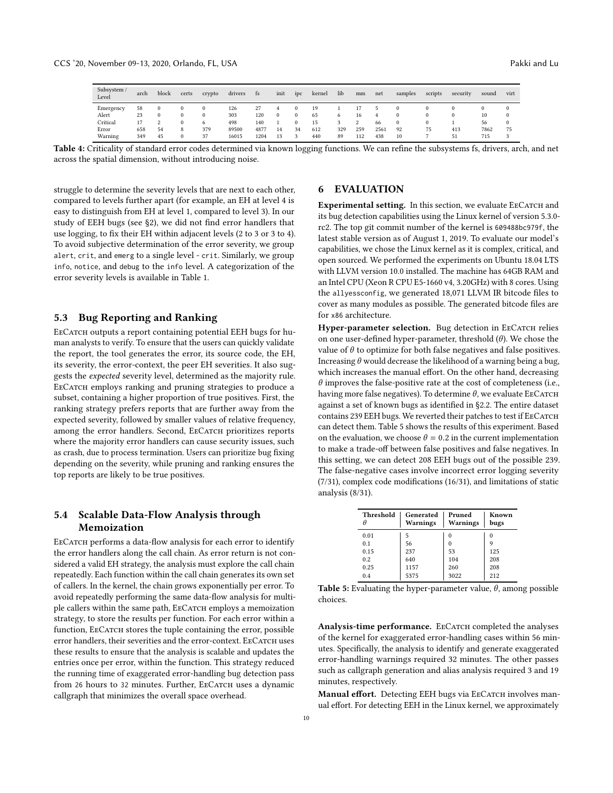<span id="page-9-1"></span>

| Subsystem<br>Level | arch | block | certs    | crypto   | drivers | ts   | init     | $_{\text{IDC}}$ | kernel | lib | mm  | net  | samples  | scripts | security | sound | virt |
|--------------------|------|-------|----------|----------|---------|------|----------|-----------------|--------|-----|-----|------|----------|---------|----------|-------|------|
| Emergency          | 58   |       | $\Omega$ | $\Omega$ | 126     |      | 4        |                 | 19     |     |     |      | $\Omega$ |         | $^{0}$   |       |      |
| Alert              | 23   |       | 0        | $\Omega$ | 303     | 120  | $\bf{0}$ | $\Omega$        | 65     | o   | 16  | 4    | $\Omega$ |         | $\Omega$ | 10    |      |
| Critical           |      |       | $\Omega$ | 6        | 498     | 140  |          | $^{()}$         | 15     |     | 2   | 66   | $\bf{0}$ |         |          | 56    |      |
| Error              | 658  | 54    | 8        | 379      | 89500   | 4877 | 14       | 34              | 612    | 329 | 259 | 2561 | 92       | 75      | 413      | 7862  | 75   |
| Warning            | 349  | 45    |          | 37       | 16015   | 1204 |          |                 | 440    | 89  | 112 | 438  | 10       |         | 51       | 715   |      |

Table 4: Criticality of standard error codes determined via known logging functions. We can refine the subsystems fs, drivers, arch, and net across the spatial dimension, without introducing noise.

struggle to determine the severity levels that are next to each other, compared to levels further apart (for example, an EH at level 4 is easy to distinguish from EH at level 1, compared to level 3). In our study of EEH bugs (see [§2\)](#page-2-1), we did not find error handlers that use logging, to fix their EH within adjacent levels (2 to 3 or 3 to 4). To avoid subjective determination of the error severity, we group alert, crit, and emerg to a single level - crit. Similarly, we group info, notice, and debug to the info level. A categorization of the error severity levels is available in [Table 1.](#page-3-1)

# 5.3 Bug Reporting and Ranking

EECATCH outputs a report containing potential EEH bugs for human analysts to verify. To ensure that the users can quickly validate the report, the tool generates the error, its source code, the EH, its severity, the error-context, the peer EH severities. It also suggests the expected severity level, determined as the majority rule. EECATCH employs ranking and pruning strategies to produce a subset, containing a higher proportion of true positives. First, the ranking strategy prefers reports that are further away from the expected severity, followed by smaller values of relative frequency, among the error handlers. Second, EECATCH prioritizes reports where the majority error handlers can cause security issues, such as crash, due to process termination. Users can prioritize bug fixing depending on the severity, while pruning and ranking ensures the top reports are likely to be true positives.

# 5.4 Scalable Data-Flow Analysis through Memoization

EECATCH performs a data-flow analysis for each error to identify the error handlers along the call chain. As error return is not considered a valid EH strategy, the analysis must explore the call chain repeatedly. Each function within the call chain generates its own set of callers. In the kernel, the chain grows exponentially per error. To avoid repeatedly performing the same data-flow analysis for multiple callers within the same path, EECATCH employs a memoization strategy, to store the results per function. For each error within a function, EECATCH stores the tuple containing the error, possible error handlers, their severities and the error-context. EECATCH uses these results to ensure that the analysis is scalable and updates the entries once per error, within the function. This strategy reduced the running time of exaggerated error-handling bug detection pass from 26 hours to 32 minutes. Further, EECATCH uses a dynamic callgraph that minimizes the overall space overhead.

# <span id="page-9-0"></span>6 EVALUATION

Experimental setting. In this section, we evaluate EECATCH and its bug detection capabilities using the Linux kernel of version 5.3.0 rc2. The top git commit number of the kernel is 609488bc979f, the latest stable version as of August 1, 2019. To evaluate our model's capabilities, we chose the Linux kernel as it is complex, critical, and open sourced. We performed the experiments on Ubuntu 18.04 LTS with LLVM version 10.0 installed. The machine has 64GB RAM and an Intel CPU (Xeon R CPU E5-1660 v4, 3.20GHz) with 8 cores. Using the allyessconfig, we generated 18,071 LLVM IR bitcode files to cover as many modules as possible. The generated bitcode files are for x86 architecture.

Hyper-parameter selection. Bug detection in EECATCH relies on one user-defined hyper-parameter, threshold  $(\theta)$ . We chose the value of  $\theta$  to optimize for both false negatives and false positives. Increasing  $\theta$  would decrease the likelihood of a warning being a bug, which increases the manual effort. On the other hand, decreasing  $\theta$  improves the false-positive rate at the cost of completeness (i.e., having more false negatives). To determine  $\theta$ , we evaluate EECATCH against a set of known bugs as identified in [§2.2.](#page-3-2) The entire dataset contains 239 EEH bugs. We reverted their patches to test if EECATCH can detect them. [Table 5](#page-9-2) shows the results of this experiment. Based on the evaluation, we choose  $\theta = 0.2$  in the current implementation to make a trade-off between false positives and false negatives. In this setting, we can detect 208 EEH bugs out of the possible 239. The false-negative cases involve incorrect error logging severity (7/31), complex code modifications (16/31), and limitations of static analysis (8/31).

<span id="page-9-2"></span>

| Threshold | Generated<br><b>Warnings</b> | Pruned<br><b>Warnings</b> | Known<br>bugs |
|-----------|------------------------------|---------------------------|---------------|
| 0.01      | 5                            |                           | $\theta$      |
| 0.1       | 56                           |                           | 9             |
| 0.15      | 237                          | 53                        | 125           |
| 0.2       | 640                          | 104                       | 208           |
| 0.25      | 1157                         | 260                       | 208           |
| 0.4       | 5375                         | 3022                      | 212           |

Table 5: Evaluating the hyper-parameter value,  $\theta$ , among possible choices.

Analysis-time performance. EECATCH completed the analyses of the kernel for exaggerated error-handling cases within 56 minutes. Specifically, the analysis to identify and generate exaggerated error-handling warnings required 32 minutes. The other passes such as callgraph generation and alias analysis required 3 and 19 minutes, respectively.

Manual effort. Detecting EEH bugs via EECATCH involves manual effort. For detecting EEH in the Linux kernel, we approximately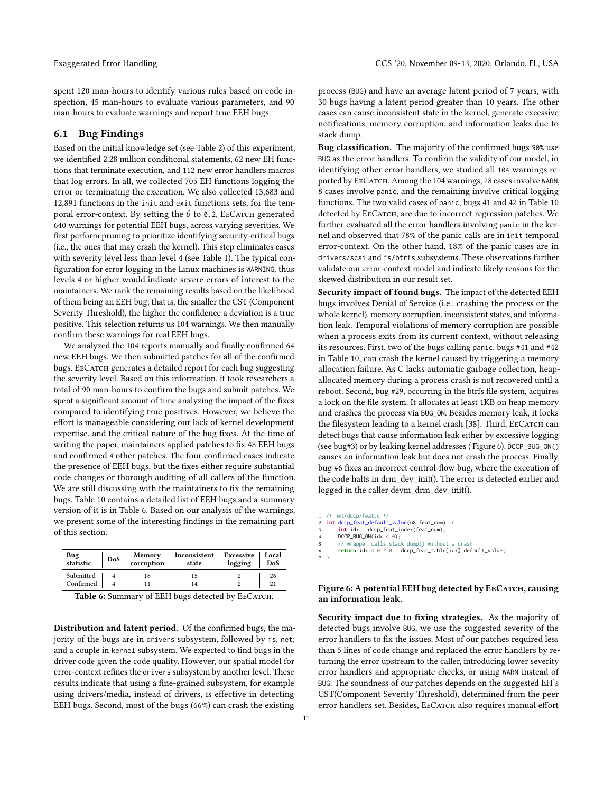spent 120 man-hours to identify various rules based on code inspection, 45 man-hours to evaluate various parameters, and 90 man-hours to evaluate warnings and report true EEH bugs.

#### 6.1 Bug Findings

Based on the initial knowledge set (see [Table 2\)](#page-3-0) of this experiment, we identified 2.28 million conditional statements, 62 new EH functions that terminate execution, and 112 new error handlers macros that log errors. In all, we collected 705 EH functions logging the error or terminating the execution. We also collected 13,683 and 12,891 functions in the init and exit functions sets, for the temporal error-context. By setting the  $\theta$  to 0.2, EECATCH generated 640 warnings for potential EEH bugs, across varying severities. We first perform pruning to prioritize identifying security-critical bugs (i.e., the ones that may crash the kernel). This step eliminates cases with severity level less than level 4 (see [Table 1\)](#page-3-1). The typical configuration for error logging in the Linux machines is WARNING, thus levels 4 or higher would indicate severe errors of interest to the maintainers. We rank the remaining results based on the likelihood of them being an EEH bug; that is, the smaller the CST (Component Severity Threshold), the higher the confidence a deviation is a true positive. This selection returns us 104 warnings. We then manually confirm these warnings for real EEH bugs.

We analyzed the 104 reports manually and finally confirmed 64 new EEH bugs. We then submitted patches for all of the confirmed bugs. EECATCH generates a detailed report for each bug suggesting the severity level. Based on this information, it took researchers a total of 90 man-hours to confirm the bugs and submit patches. We spent a significant amount of time analyzing the impact of the fixes compared to identifying true positives. However, we believe the effort is manageable considering our lack of kernel development expertise, and the critical nature of the bug fixes. At the time of writing the paper, maintainers applied patches to fix 48 EEH bugs and confirmed 4 other patches. The four confirmed cases indicate the presence of EEH bugs, but the fixes either require substantial code changes or thorough auditing of all callers of the function. We are still discussing with the maintainers to fix the remaining bugs. [Table 10](#page-16-1) contains a detailed list of EEH bugs and a summary version of it is in [Table 6.](#page-10-0) Based on our analysis of the warnings, we present some of the interesting findings in the remaining part of this section.

<span id="page-10-0"></span>

| Bug                    | <b>DoS</b> | Memory     | Inconsistent | Excessive | Local    |
|------------------------|------------|------------|--------------|-----------|----------|
| statistic              |            | corruption | state        | logging   | DoS      |
| Submitted<br>Confirmed |            | 18         | 15<br>14     |           | 26<br>21 |

| Table 6: Summary of EEH bugs detected by ЕEСАТСН. |  |  |  |
|---------------------------------------------------|--|--|--|
|                                                   |  |  |  |

Distribution and latent period. Of the confirmed bugs, the majority of the bugs are in drivers subsystem, followed by fs, net; and a couple in kernel subsystem. We expected to find bugs in the driver code given the code quality. However, our spatial model for error-context refines the drivers subsystem by another level. These results indicate that using a fine-grained subsystem, for example using drivers/media, instead of drivers, is effective in detecting EEH bugs. Second, most of the bugs (66%) can crash the existing

process (BUG) and have an average latent period of 7 years, with 30 bugs having a latent period greater than 10 years. The other cases can cause inconsistent state in the kernel, generate excessive notifications, memory corruption, and information leaks due to stack dump.

Bug classification. The majority of the confirmed bugs 90% use BUG as the error handlers. To confirm the validity of our model, in identifying other error handlers, we studied all 104 warnings reported by EECATCH. Among the 104 warnings, 28 cases involve WARN, 8 cases involve panic, and the remaining involve critical logging functions. The two valid cases of panic, bugs 41 and 42 in [Table 10](#page-16-1) detected by EECATCH, are due to incorrect regression patches. We further evaluated all the error handlers involving panic in the kernel and observed that 78% of the panic calls are in init temporal error-context. On the other hand, 18% of the panic cases are in drivers/scsi and fs/btrfs subsystems. These observations further validate our error-context model and indicate likely reasons for the skewed distribution in our result set.

Security impact of found bugs. The impact of the detected EEH bugs involves Denial of Service (i.e., crashing the process or the whole kernel), memory corruption, inconsistent states, and information leak. Temporal violations of memory corruption are possible when a process exits from its current context, without releasing its resources. First, two of the bugs calling panic, bugs #41 and #42 in [Table 10,](#page-16-1) can crash the kernel caused by triggering a memory allocation failure. As C lacks automatic garbage collection, heapallocated memory during a process crash is not recovered until a reboot. Second, bug #29, occurring in the btrfs file system, acquires a lock on the file system. It allocates at least 1KB on heap memory and crashes the process via BUG\_ON. Besides memory leak, it locks the filesystem leading to a kernel crash [\[38\]](#page-14-17). Third, ЕвСАтсн can detect bugs that cause information leak either by excessive logging (see bug#3) or by leaking kernel addresses ( [Figure 6\)](#page-10-1). DCCP\_BUG\_ON() causes an information leak but does not crash the process. Finally, bug #6 fixes an incorrect control-flow bug, where the execution of the code halts in drm\_dev\_init(). The error is detected earlier and logged in the caller devm\_drm\_dev\_init().

```
1 /* net/dccp/feat.c */
  2 int dccp_feat_default_value(u8 feat_num) {
        int idx = dccp_feat_index(feat_num);
       DCCP_BUG_ON(idx < 0);5 // wrapper calls stack_dump() without a crash
6 return idx < 0 ? 0 : dccp_feat_table[idx].default_value;
7 }
```
#### Figure 6: A potential EEH bug detected by EECATCH, causing an information leak.

Security impact due to fixing strategies. As the majority of detected bugs involve BUG, we use the suggested severity of the error handlers to fix the issues. Most of our patches required less than 5 lines of code change and replaced the error handlers by returning the error upstream to the caller, introducing lower severity error handlers and appropriate checks, or using WARN instead of BUG. The soundness of our patches depends on the suggested EH's CST(Component Severity Threshold), determined from the peer error handlers set. Besides, EECATCH also requires manual effort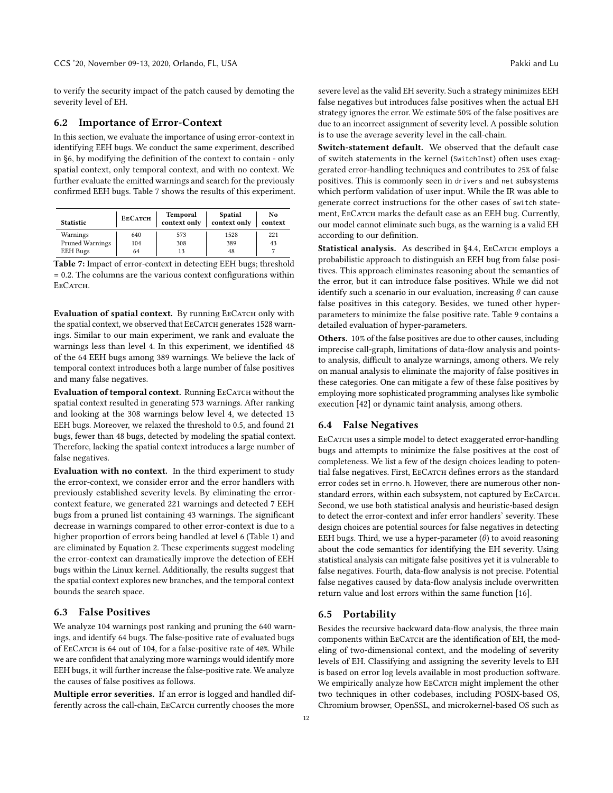to verify the security impact of the patch caused by demoting the severity level of EH.

#### <span id="page-11-2"></span>6.2 Importance of Error-Context

In this section, we evaluate the importance of using error-context in identifying EEH bugs. We conduct the same experiment, described in [§6,](#page-9-0) by modifying the definition of the context to contain - only spatial context, only temporal context, and with no context. We further evaluate the emitted warnings and search for the previously confirmed EEH bugs. [Table 7](#page-11-3) shows the results of this experiment.

<span id="page-11-3"></span>

| <b>Statistic</b> | <b>EECATCH</b> | Temporal<br>context only | <b>Spatial</b><br>context only | No<br>context |
|------------------|----------------|--------------------------|--------------------------------|---------------|
| Warnings         | 640            | 573                      | 1528                           | 221           |
| Pruned Warnings  | 104            | 308                      | 389                            | 43            |
| <b>EEH</b> Bugs  | 64             | 13                       | 48                             |               |

Table 7: Impact of error-context in detecting EEH bugs; threshold = 0.2. The columns are the various context configurations within E<sub>E</sub>C<sub>ATCH</sub>.

Evaluation of spatial context. By running EECATCH only with the spatial context, we observed that EECATCH generates 1528 warnings. Similar to our main experiment, we rank and evaluate the warnings less than level 4. In this experiment, we identified 48 of the 64 EEH bugs among 389 warnings. We believe the lack of temporal context introduces both a large number of false positives and many false negatives.

Evaluation of temporal context. Running EECATCH without the spatial context resulted in generating 573 warnings. After ranking and looking at the 308 warnings below level 4, we detected 13 EEH bugs. Moreover, we relaxed the threshold to 0.5, and found 21 bugs, fewer than 48 bugs, detected by modeling the spatial context. Therefore, lacking the spatial context introduces a large number of false negatives.

Evaluation with no context. In the third experiment to study the error-context, we consider error and the error handlers with previously established severity levels. By eliminating the errorcontext feature, we generated 221 warnings and detected 7 EEH bugs from a pruned list containing 43 warnings. The significant decrease in warnings compared to other error-context is due to a higher proportion of errors being handled at level 6 [\(Table 1\)](#page-3-1) and are eliminated by [Equation 2.](#page-8-1) These experiments suggest modeling the error-context can dramatically improve the detection of EEH bugs within the Linux kernel. Additionally, the results suggest that the spatial context explores new branches, and the temporal context bounds the search space.

### <span id="page-11-0"></span>6.3 False Positives

We analyze 104 warnings post ranking and pruning the 640 warnings, and identify 64 bugs. The false-positive rate of evaluated bugs of EeCatch is 64 out of 104, for a false-positive rate of 40%. While we are confident that analyzing more warnings would identify more EEH bugs, it will further increase the false-positive rate. We analyze the causes of false positives as follows.

Multiple error severities. If an error is logged and handled differently across the call-chain, EECATCH currently chooses the more

severe level as the valid EH severity. Such a strategy minimizes EEH false negatives but introduces false positives when the actual EH strategy ignores the error. We estimate 50% of the false positives are due to an incorrect assignment of severity level. A possible solution is to use the average severity level in the call-chain.

Switch-statement default. We observed that the default case of switch statements in the kernel (SwitchInst) often uses exaggerated error-handling techniques and contributes to 25% of false positives. This is commonly seen in drivers and net subsystems which perform validation of user input. While the IR was able to generate correct instructions for the other cases of switch statement, EECATCH marks the default case as an EEH bug. Currently, our model cannot eliminate such bugs, as the warning is a valid EH according to our definition.

Statistical analysis. As described in [§4.4,](#page-7-1) EECATCH employs a probabilistic approach to distinguish an EEH bug from false positives. This approach eliminates reasoning about the semantics of the error, but it can introduce false positives. While we did not identify such a scenario in our evaluation, increasing  $\theta$  can cause false positives in this category. Besides, we tuned other hyperparameters to minimize the false positive rate. [Table 9](#page-16-2) contains a detailed evaluation of hyper-parameters.

Others. 10% of the false positives are due to other causes, including imprecise call-graph, limitations of data-flow analysis and pointsto analysis, difficult to analyze warnings, among others. We rely on manual analysis to eliminate the majority of false positives in these categories. One can mitigate a few of these false positives by employing more sophisticated programming analyses like symbolic execution [\[42\]](#page-14-18) or dynamic taint analysis, among others.

#### <span id="page-11-1"></span>6.4 False Negatives

EECATCH uses a simple model to detect exaggerated error-handling bugs and attempts to minimize the false positives at the cost of completeness. We list a few of the design choices leading to potential false negatives. First, EECATCH defines errors as the standard error codes set in errno.h. However, there are numerous other nonstandard errors, within each subsystem, not captured by EECATCH. Second, we use both statistical analysis and heuristic-based design to detect the error-context and infer error handlers' severity. These design choices are potential sources for false negatives in detecting EEH bugs. Third, we use a hyper-parameter  $(\theta)$  to avoid reasoning about the code semantics for identifying the EH severity. Using statistical analysis can mitigate false positives yet it is vulnerable to false negatives. Fourth, data-flow analysis is not precise. Potential false negatives caused by data-flow analysis include overwritten return value and lost errors within the same function [\[16\]](#page-14-0).

## 6.5 Portability

Besides the recursive backward data-flow analysis, the three main components within EECATCH are the identification of EH, the modeling of two-dimensional context, and the modeling of severity levels of EH. Classifying and assigning the severity levels to EH is based on error log levels available in most production software. We empirically analyze how EECATCH might implement the other two techniques in other codebases, including POSIX-based OS, Chromium browser, OpenSSL, and microkernel-based OS such as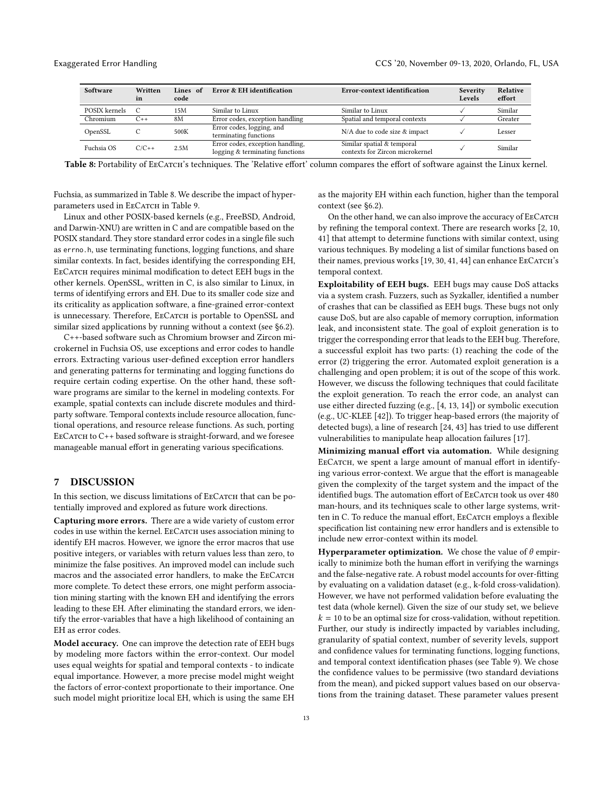<span id="page-12-0"></span>

| Software      | Written<br>in | Lines of<br>code | Error & EH identification                                           | Error-context identification                                  | Severity<br>Levels | Relative<br>effort |
|---------------|---------------|------------------|---------------------------------------------------------------------|---------------------------------------------------------------|--------------------|--------------------|
| POSIX kernels | C             | 15M              | Similar to Linux                                                    | Similar to Linux                                              |                    | Similar            |
| Chromium      | $C++$         | 8M               | Error codes, exception handling                                     | Spatial and temporal contexts                                 |                    | Greater            |
| OpenSSL       |               | 500K             | Error codes, logging, and<br>terminating functions                  | N/A due to code size & impact                                 |                    | Lesser             |
| Fuchsia OS    | $C/C++$       | 2.5M             | Error codes, exception handling,<br>logging & terminating functions | Similar spatial & temporal<br>contexts for Zircon microkernel |                    | Similar            |

Table 8: Portability of EECATCH's techniques. The 'Relative effort' column compares the effort of software against the Linux kernel.

Fuchsia, as summarized in [Table 8.](#page-12-0) We describe the impact of hyper-parameters used in EECATCH in [Table 9.](#page-16-2)

Linux and other POSIX-based kernels (e.g., FreeBSD, Android, and Darwin-XNU) are written in C and are compatible based on the POSIX standard. They store standard error codes in a single file such as errno.h, use terminating functions, logging functions, and share similar contexts. In fact, besides identifying the corresponding EH, EECATCH requires minimal modification to detect EEH bugs in the other kernels. OpenSSL, written in C, is also similar to Linux, in terms of identifying errors and EH. Due to its smaller code size and its criticality as application software, a fine-grained error-context is unnecessary. Therefore, EECATCH is portable to OpenSSL and similar sized applications by running without a context (see [§6.2\)](#page-11-2).

C++-based software such as Chromium browser and Zircon microkernel in Fuchsia OS, use exceptions and error codes to handle errors. Extracting various user-defined exception error handlers and generating patterns for terminating and logging functions do require certain coding expertise. On the other hand, these software programs are similar to the kernel in modeling contexts. For example, spatial contexts can include discrete modules and thirdparty software. Temporal contexts include resource allocation, functional operations, and resource release functions. As such, porting EECATCH to C++ based software is straight-forward, and we foresee manageable manual effort in generating various specifications.

# 7 DISCUSSION

In this section, we discuss limitations of EECATCH that can be potentially improved and explored as future work directions.

Capturing more errors. There are a wide variety of custom error codes in use within the kernel. EECATCH uses association mining to identify EH macros. However, we ignore the error macros that use positive integers, or variables with return values less than zero, to minimize the false positives. An improved model can include such macros and the associated error handlers, to make the EECATCH more complete. To detect these errors, one might perform association mining starting with the known EH and identifying the errors leading to these EH. After eliminating the standard errors, we identify the error-variables that have a high likelihood of containing an EH as error codes.

Model accuracy. One can improve the detection rate of EEH bugs by modeling more factors within the error-context. Our model uses equal weights for spatial and temporal contexts - to indicate equal importance. However, a more precise model might weight the factors of error-context proportionate to their importance. One such model might prioritize local EH, which is using the same EH as the majority EH within each function, higher than the temporal context (see [§6.2\)](#page-11-2).

On the other hand, we can also improve the accuracy of EECATCH by refining the temporal context. There are research works [\[2,](#page-14-12) [10,](#page-14-13) [41\]](#page-14-14) that attempt to determine functions with similar context, using various techniques. By modeling a list of similar functions based on their names, previous works [\[19,](#page-14-19) [30,](#page-14-20) [41,](#page-14-14) [44\]](#page-14-21) can enhance EECATCH's temporal context.

Exploitability of EEH bugs. EEH bugs may cause DoS attacks via a system crash. Fuzzers, such as Syzkaller, identified a number of crashes that can be classified as EEH bugs. These bugs not only cause DoS, but are also capable of memory corruption, information leak, and inconsistent state. The goal of exploit generation is to trigger the corresponding error that leads to the EEH bug. Therefore, a successful exploit has two parts: (1) reaching the code of the error (2) triggering the error. Automated exploit generation is a challenging and open problem; it is out of the scope of this work. However, we discuss the following techniques that could facilitate the exploit generation. To reach the error code, an analyst can use either directed fuzzing (e.g., [\[4,](#page-14-22) [13,](#page-14-23) [14\]](#page-14-24)) or symbolic execution (e.g., UC-KLEE [\[42\]](#page-14-18)). To trigger heap-based errors (the majority of detected bugs), a line of research [\[24,](#page-14-25) [43\]](#page-14-26) has tried to use different vulnerabilities to manipulate heap allocation failures [\[17\]](#page-14-27).

Minimizing manual effort via automation. While designing EECATCH, we spent a large amount of manual effort in identifying various error-context. We argue that the effort is manageable given the complexity of the target system and the impact of the identified bugs. The automation effort of EECATCH took us over 480 man-hours, and its techniques scale to other large systems, written in C. To reduce the manual effort, EECATCH employs a flexible specification list containing new error handlers and is extensible to include new error-context within its model.

**Hyperparameter optimization.** We chose the value of  $\theta$  empirically to minimize both the human effort in verifying the warnings and the false-negative rate. A robust model accounts for over-fitting by evaluating on a validation dataset (e.g., k-fold cross-validation). However, we have not performed validation before evaluating the test data (whole kernel). Given the size of our study set, we believe  $k = 10$  to be an optimal size for cross-validation, without repetition. Further, our study is indirectly impacted by variables including, granularity of spatial context, number of severity levels, support and confidence values for terminating functions, logging functions, and temporal context identification phases (see [Table 9\)](#page-16-2). We chose the confidence values to be permissive (two standard deviations from the mean), and picked support values based on our observations from the training dataset. These parameter values present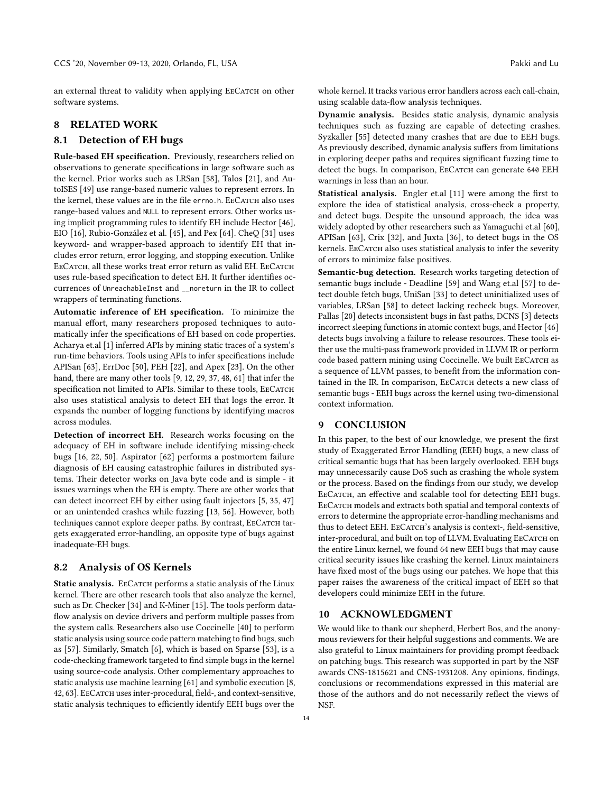an external threat to validity when applying EECATCH on other software systems.

# 8 RELATED WORK

#### 8.1 Detection of EH bugs

Rule-based EH specification. Previously, researchers relied on observations to generate specifications in large software such as the kernel. Prior works such as LRSan [\[58\]](#page-15-6), Talos [\[21\]](#page-14-28), and AutoISES [\[49\]](#page-15-7) use range-based numeric values to represent errors. In the kernel, these values are in the file errno.h. EECATCH also uses range-based values and NULL to represent errors. Other works using implicit programming rules to identify EH include Hector [\[46\]](#page-14-29), EIO [\[16\]](#page-14-0), Rubio-González et al. [\[45\]](#page-14-3), and Pex [\[64\]](#page-15-8). CheQ [\[31\]](#page-14-7) uses keyword- and wrapper-based approach to identify EH that includes error return, error logging, and stopping execution. Unlike EECATCH, all these works treat error return as valid EH. EECATCH uses rule-based specification to detect EH. It further identifies occurrences of UnreachableInst and \_\_noreturn in the IR to collect wrappers of terminating functions.

Automatic inference of EH specification. To minimize the manual effort, many researchers proposed techniques to automatically infer the specifications of EH based on code properties. Acharya et.al [\[1\]](#page-14-30) inferred APIs by mining static traces of a system's run-time behaviors. Tools using APIs to infer specifications include APISan [\[63\]](#page-15-9), ErrDoc [\[50\]](#page-15-4), PEH [\[22\]](#page-14-2), and Apex [\[23\]](#page-14-1). On the other hand, there are many other tools [\[9,](#page-14-31) [12,](#page-14-32) [29,](#page-14-33) [37,](#page-14-34) [48,](#page-15-10) [61\]](#page-15-11) that infer the specification not limited to APIs. Similar to these tools, EECATCH also uses statistical analysis to detect EH that logs the error. It expands the number of logging functions by identifying macros across modules.

Detection of incorrect EH. Research works focusing on the adequacy of EH in software include identifying missing-check bugs [\[16,](#page-14-0) [22,](#page-14-2) [50\]](#page-15-4). Aspirator [\[62\]](#page-15-0) performs a postmortem failure diagnosis of EH causing catastrophic failures in distributed systems. Their detector works on Java byte code and is simple - it issues warnings when the EH is empty. There are other works that can detect incorrect EH by either using fault injectors [\[5,](#page-14-35) [35,](#page-14-36) [47\]](#page-15-12) or an unintended crashes while fuzzing [\[13,](#page-14-23) [56\]](#page-15-13). However, both techniques cannot explore deeper paths. By contrast, EECATCH targets exaggerated error-handling, an opposite type of bugs against inadequate-EH bugs.

# 8.2 Analysis of OS Kernels

Static analysis. EECATCH performs a static analysis of the Linux kernel. There are other research tools that also analyze the kernel, such as Dr. Checker [\[34\]](#page-14-37) and K-Miner [\[15\]](#page-14-38). The tools perform dataflow analysis on device drivers and perform multiple passes from the system calls. Researchers also use Coccinelle [\[40\]](#page-14-39) to perform static analysis using source code pattern matching to find bugs, such as [\[57\]](#page-15-14). Similarly, Smatch [\[6\]](#page-14-40), which is based on Sparse [\[53\]](#page-15-15), is a code-checking framework targeted to find simple bugs in the kernel using source-code analysis. Other complementary approaches to static analysis use machine learning [\[61\]](#page-15-11) and symbolic execution [\[8,](#page-14-41) [42,](#page-14-18) [63\]](#page-15-9). EeCatch uses inter-procedural, field-, and context-sensitive, static analysis techniques to efficiently identify EEH bugs over the

whole kernel. It tracks various error handlers across each call-chain, using scalable data-flow analysis techniques.

Dynamic analysis. Besides static analysis, dynamic analysis techniques such as fuzzing are capable of detecting crashes. Syzkaller [\[55\]](#page-15-3) detected many crashes that are due to EEH bugs. As previously described, dynamic analysis suffers from limitations in exploring deeper paths and requires significant fuzzing time to detect the bugs. In comparison, EECATCH can generate 640 EEH warnings in less than an hour.

Statistical analysis. Engler et.al [\[11\]](#page-14-4) were among the first to explore the idea of statistical analysis, cross-check a property, and detect bugs. Despite the unsound approach, the idea was widely adopted by other researchers such as Yamaguchi et.al [\[60\]](#page-15-16), APISan [\[63\]](#page-15-9), Crix [\[32\]](#page-14-15), and Juxta [\[36\]](#page-14-42), to detect bugs in the OS kernels. EECATCH also uses statistical analysis to infer the severity of errors to minimize false positives.

Semantic-bug detection. Research works targeting detection of semantic bugs include - Deadline [\[59\]](#page-15-17) and Wang et.al [\[57\]](#page-15-14) to detect double fetch bugs, UniSan [\[33\]](#page-14-43) to detect uninitialized uses of variables, LRSan [\[58\]](#page-15-6) to detect lacking recheck bugs. Moreover, Pallas [\[20\]](#page-14-44) detects inconsistent bugs in fast paths, DCNS [\[3\]](#page-14-45) detects incorrect sleeping functions in atomic context bugs, and Hector [\[46\]](#page-14-29) detects bugs involving a failure to release resources. These tools either use the multi-pass framework provided in LLVM IR or perform code based pattern mining using Coccinelle. We built EECATCH as a sequence of LLVM passes, to benefit from the information contained in the IR. In comparison, EECATCH detects a new class of semantic bugs - EEH bugs across the kernel using two-dimensional context information.

#### 9 CONCLUSION

In this paper, to the best of our knowledge, we present the first study of Exaggerated Error Handling (EEH) bugs, a new class of critical semantic bugs that has been largely overlooked. EEH bugs may unnecessarily cause DoS such as crashing the whole system or the process. Based on the findings from our study, we develop EECATCH, an effective and scalable tool for detecting EEH bugs. EECATCH models and extracts both spatial and temporal contexts of errors to determine the appropriate error-handling mechanisms and thus to detect EEH. EECATCH's analysis is context-, field-sensitive, inter-procedural, and built on top of LLVM. Evaluating EECATCH on the entire Linux kernel, we found 64 new EEH bugs that may cause critical security issues like crashing the kernel. Linux maintainers have fixed most of the bugs using our patches. We hope that this paper raises the awareness of the critical impact of EEH so that developers could minimize EEH in the future.

#### 10 ACKNOWLEDGMENT

We would like to thank our shepherd, Herbert Bos, and the anonymous reviewers for their helpful suggestions and comments. We are also grateful to Linux maintainers for providing prompt feedback on patching bugs. This research was supported in part by the NSF awards CNS-1815621 and CNS-1931208. Any opinions, findings, conclusions or recommendations expressed in this material are those of the authors and do not necessarily reflect the views of NSF.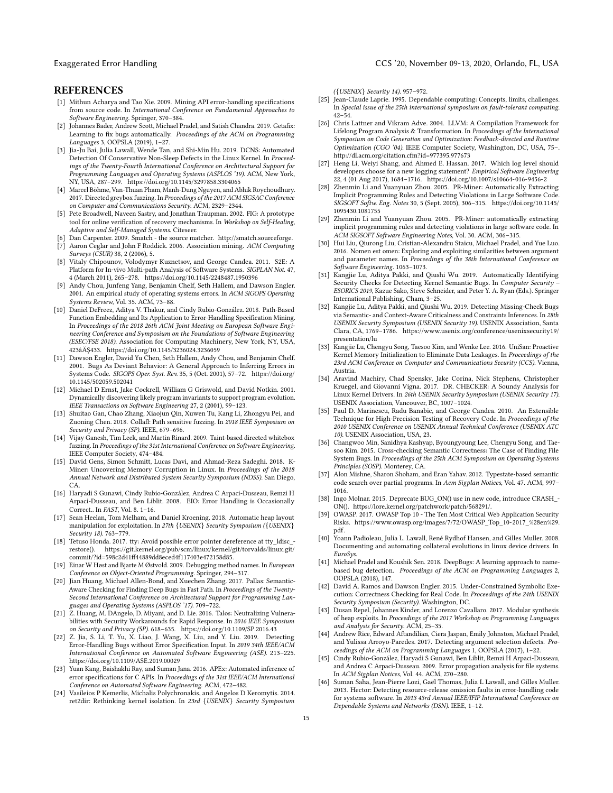#### **REFERENCES**

- <span id="page-14-30"></span>[1] Mithun Acharya and Tao Xie. 2009. Mining API error-handling specifications from source code. In International Conference on Fundamental Approaches to Software Engineering. Springer, 370–384.
- <span id="page-14-12"></span>[2] Johannes Bader, Andrew Scott, Michael Pradel, and Satish Chandra. 2019. Getafix: Learning to fix bugs automatically. Proceedings of the ACM on Programming Languages 3, OOPSLA (2019), 1–27.
- <span id="page-14-45"></span>[3] Jia-Ju Bai, Julia Lawall, Wende Tan, and Shi-Min Hu. 2019. DCNS: Automated Detection Of Conservative Non-Sleep Defects in the Linux Kernel. In Proceedings of the Twenty-Fourth International Conference on Architectural Support for Programming Languages and Operating Systems (ASPLOS '19). ACM, New York, NY, USA, 287–299.<https://doi.org/10.1145/3297858.3304065>
- <span id="page-14-22"></span>[4] Marcel Böhme, Van-Thuan Pham, Manh-Dung Nguyen, and Abhik Roychoudhury. 2017. Directed greybox fuzzing. In Proceedings of the 2017 ACM SIGSAC Conference on Computer and Communications Security. ACM, 2329–2344.
- <span id="page-14-35"></span>[5] Pete Broadwell, Naveen Sastry, and Jonathan Traupman. 2002. FIG: A prototype tool for online verification of recovery mechanisms. In Workshop on Self-Healing, Adaptive and Self-Managed Systems. Citeseer.
- <span id="page-14-40"></span>Dan Carpenter. 2009. Smatch - the source matcher. [http://smatch.sourceforge.](http://smatch.sourceforge)
- <span id="page-14-11"></span>[7] Aaron Ceglar and John F Roddick. 2006. Association mining. ACM Computing Surveys (CSUR) 38, 2 (2006), 5.
- <span id="page-14-41"></span>[8] Vitaly Chipounov, Volodymyr Kuznetsov, and George Candea. 2011. S2E: A Platform for In-vivo Multi-path Analysis of Software Systems. SIGPLAN Not. 47, 4 (March 2011), 265–278.<https://doi.org/10.1145/2248487.1950396>
- <span id="page-14-31"></span>[9] Andy Chou, Junfeng Yang, Benjamin Chelf, Seth Hallem, and Dawson Engler. 2001. An empirical study of operating systems errors. In ACM SIGOPS Operating Systems Review, Vol. 35. ACM, 73–88.
- <span id="page-14-13"></span>[10] Daniel DeFreez, Aditya V. Thakur, and Cindy Rubio-González. 2018. Path-Based Function Embedding and Its Application to Error-Handling Specification Mining. In Proceedings of the 2018 26th ACM Joint Meeting on European Software Engineering Conference and Symposium on the Foundations of Software Engineering (ESEC/FSE 2018). Association for Computing Machinery, New York, NY, USA, 423âĂŞ433.<https://doi.org/10.1145/3236024.3236059>
- <span id="page-14-4"></span>[11] Dawson Engler, David Yu Chen, Seth Hallem, Andy Chou, and Benjamin Chelf. 2001. Bugs As Deviant Behavior: A General Approach to Inferring Errors in Systems Code. SIGOPS Oper. Syst. Rev. 35, 5 (Oct. 2001), 57–72. [https://doi.org/](https://doi.org/10.1145/502059.502041) [10.1145/502059.502041](https://doi.org/10.1145/502059.502041)
- <span id="page-14-32"></span>[12] Michael D Ernst, Jake Cockrell, William G Griswold, and David Notkin. 2001. Dynamically discovering likely program invariants to support program evolution. IEEE Transactions on Software Engineering 27, 2 (2001), 99–123.
- <span id="page-14-23"></span>[13] Shuitao Gan, Chao Zhang, Xiaojun Qin, Xuwen Tu, Kang Li, Zhongyu Pei, and Zuoning Chen. 2018. Collafl: Path sensitive fuzzing. In 2018 IEEE Symposium on Security and Privacy (SP). IEEE, 679–696.
- <span id="page-14-24"></span>[14] Vijay Ganesh, Tim Leek, and Martin Rinard. 2009. Taint-based directed whitebox fuzzing. In Proceedings of the 31st International Conference on Software Engineering. IEEE Computer Society, 474–484.
- <span id="page-14-38"></span>[15] David Gens, Simon Schmitt, Lucas Davi, and Ahmad-Reza Sadeghi. 2018. K-Miner: Uncovering Memory Corruption in Linux. In Proceedings of the 2018 Annual Network and Distributed System Security Symposium (NDSS). San Diego, CA.
- <span id="page-14-0"></span>[16] Haryadi S Gunawi, Cindy Rubio-González, Andrea C Arpaci-Dusseau, Remzi H Arpaci-Dusseau, and Ben Liblit. 2008. EIO: Error Handling is Occasionally Correct.. In FAST, Vol. 8. 1–16.
- <span id="page-14-27"></span>[17] Sean Heelan, Tom Melham, and Daniel Kroening. 2018. Automatic heap layout manipulation for exploitation. In 27th {USENIX} Security Symposium ({USENIX} Security 18). 763–779.
- <span id="page-14-8"></span>[18] Tetuso Honda. 2017. tty: Avoid possible error pointer dereference at tty\_ldisc\_restore(). [https://git.kernel.org/pub/scm/linux/kernel/git/torvalds/linux.git/](https://git.kernel.org/pub/scm/linux/kernel/git/torvalds/linux.git/commit/?id=598c2d41ff44889dd8eced4f117403e472158d85) [commit/?id=598c2d41ff44889dd8eced4f117403e472158d85.](https://git.kernel.org/pub/scm/linux/kernel/git/torvalds/linux.git/commit/?id=598c2d41ff44889dd8eced4f117403e472158d85)
- <span id="page-14-19"></span>[19] Einar W Høst and Bjarte M Østvold. 2009. Debugging method names. In European Conference on Object-Oriented Programming. Springer, 294–317.
- <span id="page-14-44"></span>[20] Jian Huang, Michael Allen-Bond, and Xuechen Zhang. 2017. Pallas: Semantic-Aware Checking for Finding Deep Bugs in Fast Path. In Proceedings of the Twenty-Second International Conference on Architectural Support for Programming Languages and Operating Systems (ASPLOS '17). 709–722.
- <span id="page-14-28"></span>[21] Z. Huang, M. DAngelo, D. Miyani, and D. Lie. 2016. Talos: Neutralizing Vulnerabilities with Security Workarounds for Rapid Response. In 2016 IEEE Symposium on Security and Privacy (SP). 618–635.<https://doi.org/10.1109/SP.2016.43>
- <span id="page-14-2"></span>[22] Z. Jia, S. Li, T. Yu, X. Liao, J. Wang, X. Liu, and Y. Liu. 2019. Detecting Error-Handling Bugs without Error Specification Input. In 2019 34th IEEE/ACM International Conference on Automated Software Engineering (ASE). 213–225. <https://doi.org/10.1109/ASE.2019.00029>
- <span id="page-14-1"></span>[23] Yuan Kang, Baishakhi Ray, and Suman Jana. 2016. APEx: Automated inference of error specifications for C APIs. In Proceedings of the 31st IEEE/ACM International Conference on Automated Software Engineering. ACM, 472–482.
- <span id="page-14-25"></span>[24] Vasileios P Kemerlis, Michalis Polychronakis, and Angelos D Keromytis. 2014. ret2dir: Rethinking kernel isolation. In 23rd {USENIX} Security Symposium

({USENIX} Security 14). 957–972.

- <span id="page-14-6"></span>[25] Jean-Claude Laprie. 1995. Dependable computing: Concepts, limits, challenges. In Special issue of the 25th international symposium on fault-tolerant computing. 42–54.
- <span id="page-14-5"></span>[26] Chris Lattner and Vikram Adve. 2004. LLVM: A Compilation Framework for Lifelong Program Analysis & Transformation. In Proceedings of the International Symposium on Code Generation and Optimization: Feedback-directed and Runtime Optimization (CGO '04). IEEE Computer Society, Washington, DC, USA, 75–. <http://dl.acm.org/citation.cfm?id=977395.977673>
- <span id="page-14-9"></span>[27] Heng Li, Weiyi Shang, and Ahmed E. Hassan. 2017. Which log level should developers choose for a new logging statement? Empirical Software Engineering 22, 4 (01 Aug 2017), 1684–1716.<https://doi.org/10.1007/s10664-016-9456-2>
- <span id="page-14-16"></span>[28] Zhenmin Li and Yuanyuan Zhou. 2005. PR-Miner: Automatically Extracting Implicit Programming Rules and Detecting Violations in Large Software Code. SIGSOFT Softw. Eng. Notes 30, 5 (Sept. 2005), 306–315. [https://doi.org/10.1145/](https://doi.org/10.1145/1095430.1081755) [1095430.1081755](https://doi.org/10.1145/1095430.1081755)
- <span id="page-14-33"></span>[29] Zhenmin Li and Yuanyuan Zhou. 2005. PR-Miner: automatically extracting implicit programming rules and detecting violations in large software code. In ACM SIGSOFT Software Engineering Notes, Vol. 30. ACM, 306–315.
- <span id="page-14-20"></span>[30] Hui Liu, Qiurong Liu, Cristian-Alexandru Staicu, Michael Pradel, and Yue Luo. 2016. Nomen est omen: Exploring and exploiting similarities between argument and parameter names. In Proceedings of the 38th International Conference on Software Engineering. 1063–1073.
- <span id="page-14-7"></span>[31] Kangjie Lu, Aditya Pakki, and Qiushi Wu. 2019. Automatically Identifying Security Checks for Detecting Kernel Semantic Bugs. In Computer Security – ESORICS 2019, Kazue Sako, Steve Schneider, and Peter Y. A. Ryan (Eds.). Springer International Publishing, Cham, 3–25.
- <span id="page-14-15"></span>[32] Kangjie Lu, Aditya Pakki, and Qiushi Wu. 2019. Detecting Missing-Check Bugs via Semantic- and Context-Aware Criticalness and Constraints Inferences. In 28th USENIX Security Symposium (USENIX Security 19). USENIX Association, Santa Clara, CA, 1769–1786. [https://www.usenix.org/conference/usenixsecurity19/](https://www.usenix.org/conference/usenixsecurity19/presentation/lu) [presentation/lu](https://www.usenix.org/conference/usenixsecurity19/presentation/lu)
- <span id="page-14-43"></span>[33] Kangjie Lu, Chengyu Song, Taesoo Kim, and Wenke Lee. 2016. UniSan: Proactive Kernel Memory Initialization to Eliminate Data Leakages. In Proceedings of the 23rd ACM Conference on Computer and Communications Security (CCS). Vienna, Austria.
- <span id="page-14-37"></span>[34] Aravind Machiry, Chad Spensky, Jake Corina, Nick Stephens, Christopher Kruegel, and Giovanni Vigna. 2017. DR. CHECKER: A Soundy Analysis for Linux Kernel Drivers. In 26th USENIX Security Symposium (USENIX Security 17). USENIX Association, Vancouver, BC, 1007–1024.
- <span id="page-14-36"></span>[35] Paul D. Marinescu, Radu Banabic, and George Candea. 2010. An Extensible Technique for High-Precision Testing of Recovery Code. In Proceedings of the 2010 USENIX Conference on USENIX Annual Technical Conference (USENIX ATC 10). USENIX Association, USA, 23.
- <span id="page-14-42"></span>[36] Changwoo Min, Sanidhya Kashyap, Byoungyoung Lee, Chengyu Song, and Taesoo Kim. 2015. Cross-checking Semantic Correctness: The Case of Finding File System Bugs. In Proceedings of the 25th ACM Symposium on Operating Systems Principles (SOSP). Monterey, CA.
- <span id="page-14-34"></span>[37] Alon Mishne, Sharon Shoham, and Eran Yahav. 2012. Typestate-based semantic code search over partial programs. In Acm Sigplan Notices, Vol. 47. ACM, 997– 1016.
- <span id="page-14-17"></span>[38] Ingo Molnar. 2015. Deprecate BUG\_ON() use in new code, introduce CRASH\_- ON(). [https://lore.kernel.org/patchwork/patch/568291/.](https://lore.kernel.org/patchwork/patch/568291/)
- <span id="page-14-10"></span>[39] OWASP. 2017. OWASP Top 10 - The Ten Most Critical Web Application Security Risks. [https://www.owasp.org/images/7/72/OWASP\\_Top\\_10-2017\\_%28en%29.](https://www.owasp.org/images/7/72/OWASP_Top_10-2017_%28en%29.pdf) [pdf.](https://www.owasp.org/images/7/72/OWASP_Top_10-2017_%28en%29.pdf)
- <span id="page-14-39"></span>[40] Yoann Padioleau, Julia L. Lawall, René Rydhof Hansen, and Gilles Muller. 2008. Documenting and automating collateral evolutions in linux device drivers. In EuroSys.
- <span id="page-14-14"></span>[41] Michael Pradel and Koushik Sen. 2018. DeepBugs: A learning approach to namebased bug detection. Proceedings of the ACM on Programming Languages 2, OOPSLA (2018), 147.
- <span id="page-14-18"></span>[42] David A. Ramos and Dawson Engler. 2015. Under-Constrained Symbolic Execution: Correctness Checking for Real Code. In Proceedings of the 24th USENIX Security Symposium (Security). Washington, DC.
- <span id="page-14-26"></span>[43] Dusan Repel, Johannes Kinder, and Lorenzo Cavallaro. 2017. Modular synthesis of heap exploits. In Proceedings of the 2017 Workshop on Programming Languages and Analysis for Security. ACM, 25–35.
- <span id="page-14-21"></span>[44] Andrew Rice, Edward Aftandilian, Ciera Jaspan, Emily Johnston, Michael Pradel, and Yulissa Arroyo-Paredes. 2017. Detecting argument selection defects. Proceedings of the ACM on Programming Languages 1, OOPSLA (2017), 1–22.
- <span id="page-14-3"></span>[45] Cindy Rubio-González, Haryadi S Gunawi, Ben Liblit, Remzi H Arpaci-Dusseau, and Andrea C Arpaci-Dusseau. 2009. Error propagation analysis for file systems. In ACM Sigplan Notices, Vol. 44. ACM, 270–280.
- <span id="page-14-29"></span>Suman Saha, Jean-Pierre Lozi, Gaël Thomas, Julia L Lawall, and Gilles Muller. 2013. Hector: Detecting resource-release omission faults in error-handling code for systems software. In 2013 43rd Annual IEEE/IFIP International Conference on Dependable Systems and Networks (DSN). IEEE, 1–12.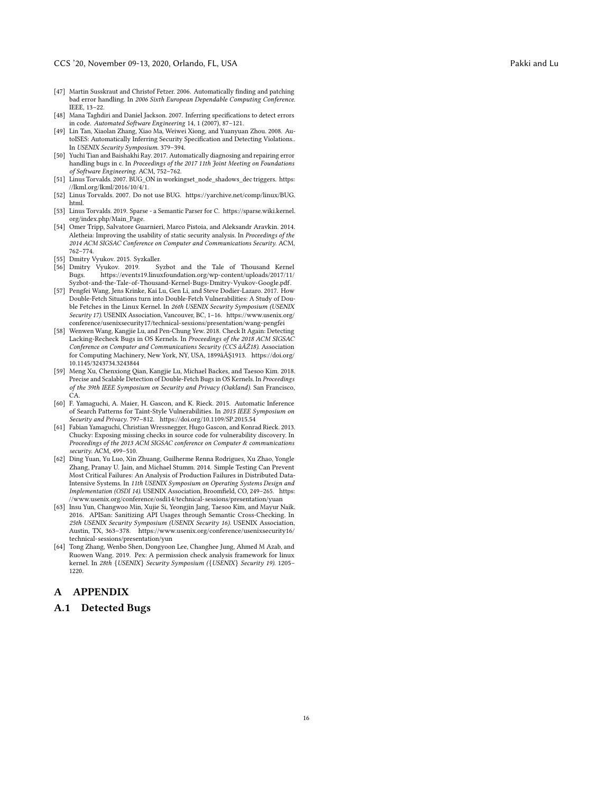- <span id="page-15-12"></span>[47] Martin Susskraut and Christof Fetzer. 2006. Automatically finding and patching bad error handling. In 2006 Sixth European Dependable Computing Conference. IEEE, 13–22.
- <span id="page-15-10"></span>[48] Mana Taghdiri and Daniel Jackson. 2007. Inferring specifications to detect errors in code. Automated Software Engineering 14, 1 (2007), 87–121.
- <span id="page-15-7"></span>[49] Lin Tan, Xiaolan Zhang, Xiao Ma, Weiwei Xiong, and Yuanyuan Zhou. 2008. AutoISES: Automatically Inferring Security Specification and Detecting Violations.. In USENIX Security Symposium. 379–394.
- <span id="page-15-4"></span>[50] Yuchi Tian and Baishakhi Ray. 2017. Automatically diagnosing and repairing error handling bugs in c. In Proceedings of the 2017 11th Joint Meeting on Foundations of Software Engineering. ACM, 752–762.
- <span id="page-15-1"></span>[51] Linus Torvalds. 2007. BUG\_ON in workingset\_node\_shadows\_dec triggers. [https:](https://lkml.org/lkml/2016/10/4/1) [//lkml.org/lkml/2016/10/4/1.](https://lkml.org/lkml/2016/10/4/1)
- <span id="page-15-2"></span>[52] Linus Torvalds. 2007. Do not use BUG. [https://yarchive.net/comp/linux/BUG.](https://yarchive.net/comp/linux/BUG.html) [html.](https://yarchive.net/comp/linux/BUG.html)
- <span id="page-15-15"></span>[53] Linus Torvalds. 2019. Sparse - a Semantic Parser for C. [https://sparse.wiki.kernel.](https://sparse.wiki.kernel.org/index.php/Main_Page) [org/index.php/Main\\_Page.](https://sparse.wiki.kernel.org/index.php/Main_Page)
- <span id="page-15-5"></span>[54] Omer Tripp, Salvatore Guarnieri, Marco Pistoia, and Aleksandr Aravkin. 2014. Aletheia: Improving the usability of static security analysis. In Proceedings of the 2014 ACM SIGSAC Conference on Computer and Communications Security. ACM, 762–774.
- <span id="page-15-13"></span>
- <span id="page-15-3"></span>[55] Dmitry Vyukov. 2015. Syzkaller. Dmitry Vyukov. 2019. Syzbot and the Tale of Thousand Kernel<br>Bugs. https://events19.linuxfoundation.org/wp-content/uploads/2017/11/ https://events19.linuxfoundation.org/wp-content/uploads/2017/11/ [Syzbot-and-the-Tale-of-Thousand-Kernel-Bugs-Dmitry-Vyukov-Google.pdf.](https://events19.linuxfoundation.org/wp-content/uploads/2017/11/Syzbot-and-the-Tale-of-Thousand-Kernel-Bugs-Dmitry-Vyukov-Google.pdf)
- <span id="page-15-14"></span>[57] Pengfei Wang, Jens Krinke, Kai Lu, Gen Li, and Steve Dodier-Lazaro. 2017. How Double-Fetch Situations turn into Double-Fetch Vulnerabilities: A Study of Double Fetches in the Linux Kernel. In 26th USENIX Security Symposium (USENIX Security 17). USENIX Association, Vancouver, BC, 1–16. [https://www.usenix.org/](https://www.usenix.org/conference/usenixsecurity17/technical-sessions/presentation/wang-pengfei) [conference/usenixsecurity17/technical-sessions/presentation/wang-pengfei](https://www.usenix.org/conference/usenixsecurity17/technical-sessions/presentation/wang-pengfei)
- <span id="page-15-6"></span>[58] Wenwen Wang, Kangjie Lu, and Pen-Chung Yew. 2018. Check It Again: Detecting Lacking-Recheck Bugs in OS Kernels. In Proceedings of the 2018 ACM SIGSAC Conference on Computer and Communications Security (CCS âĂŹ18). Association for Computing Machinery, New York, NY, USA, 1899âĂŞ1913. [https://doi.org/](https://doi.org/10.1145/3243734.3243844) [10.1145/3243734.3243844](https://doi.org/10.1145/3243734.3243844)
- <span id="page-15-17"></span>[59] Meng Xu, Chenxiong Qian, Kangjie Lu, Michael Backes, and Taesoo Kim. 2018. Precise and Scalable Detection of Double-Fetch Bugs in OS Kernels. In Proceedings of the 39th IEEE Symposium on Security and Privacy (Oakland). San Francisco, CA.
- <span id="page-15-16"></span>[60] F. Yamaguchi, A. Maier, H. Gascon, and K. Rieck. 2015. Automatic Inference of Search Patterns for Taint-Style Vulnerabilities. In 2015 IEEE Symposium on Security and Privacy. 797–812.<https://doi.org/10.1109/SP.2015.54>
- <span id="page-15-11"></span>[61] Fabian Yamaguchi, Christian Wressnegger, Hugo Gascon, and Konrad Rieck. 2013. Chucky: Exposing missing checks in source code for vulnerability discovery. In Proceedings of the 2013 ACM SIGSAC conference on Computer & communications security. ACM, 499–510.
- <span id="page-15-0"></span>[62] Ding Yuan, Yu Luo, Xin Zhuang, Guilherme Renna Rodrigues, Xu Zhao, Yongle Zhang, Pranay U. Jain, and Michael Stumm. 2014. Simple Testing Can Prevent Most Critical Failures: An Analysis of Production Failures in Distributed Data-Intensive Systems. In 11th USENIX Symposium on Operating Systems Design and Implementation (OSDI 14). USENIX Association, Broomfield, CO, 249–265. [https:](https://www.usenix.org/conference/osdi14/technical-sessions/presentation/yuan) [//www.usenix.org/conference/osdi14/technical-sessions/presentation/yuan](https://www.usenix.org/conference/osdi14/technical-sessions/presentation/yuan)
- <span id="page-15-9"></span>[63] Insu Yun, Changwoo Min, Xujie Si, Yeongjin Jang, Taesoo Kim, and Mayur Naik. 2016. APISan: Sanitizing API Usages through Semantic Cross-Checking. In 25th USENIX Security Symposium (USENIX Security 16). USENIX Association, Austin, TX, 363–378. [https://www.usenix.org/conference/usenixsecurity16/](https://www.usenix.org/conference/usenixsecurity16/technical-sessions/presentation/yun) [technical-sessions/presentation/yun](https://www.usenix.org/conference/usenixsecurity16/technical-sessions/presentation/yun)
- <span id="page-15-8"></span>[64] Tong Zhang, Wenbo Shen, Dongyoon Lee, Changhee Jung, Ahmed M Azab, and Ruowen Wang. 2019. Pex: A permission check analysis framework for linux kernel. In 28th {USENIX} Security Symposium ({USENIX} Security 19). 1205– 1220.

# A APPENDIX

#### A.1 Detected Bugs